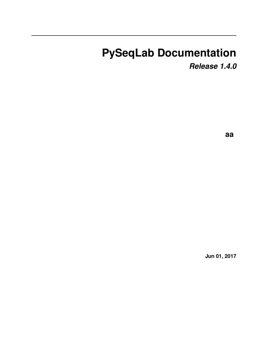# **PySeqLab Documentation**

*Release 1.4.0*

**aa**

**Jun 01, 2017**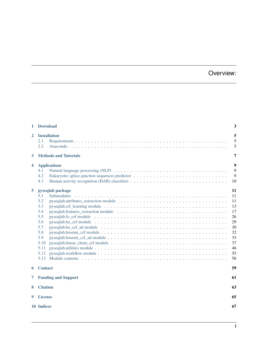# Overview:

| 1            | <b>Download</b>                                                                                                                                                    | 3                                                                                       |
|--------------|--------------------------------------------------------------------------------------------------------------------------------------------------------------------|-----------------------------------------------------------------------------------------|
| $\mathbf{2}$ | <b>Installation</b><br>2.1<br>2.2                                                                                                                                  | 5<br>5<br>5                                                                             |
| 3            | <b>Methods and Tutorials</b>                                                                                                                                       | 7                                                                                       |
| 4            | <b>Applications</b><br>4.1<br>4.2<br>4.3<br>Human activity recognition (HAR) classifiers $\dots \dots \dots \dots \dots \dots \dots \dots \dots \dots \dots \dots$ | 9<br>9<br>9<br>10                                                                       |
| 5            | pyseqlab package<br>5.1<br><b>Submodules</b><br>5.2<br>5.3<br>5.4<br>5.5<br>5.6<br>5.7<br>5.8<br>5.9<br>5.10<br>5.11<br>5.12<br>5.13                               | <b>11</b><br>11<br>11<br>13<br>17<br>26<br>29<br>30<br>32<br>33<br>37<br>46<br>55<br>58 |
| 6            | <b>Contact</b>                                                                                                                                                     | 59                                                                                      |
| 7            | <b>Funding and Support</b>                                                                                                                                         | 61                                                                                      |
| 8            | <b>Citation</b>                                                                                                                                                    | 63                                                                                      |
| 9            | <b>License</b>                                                                                                                                                     | 65                                                                                      |
|              | 10 Indices                                                                                                                                                         | 67                                                                                      |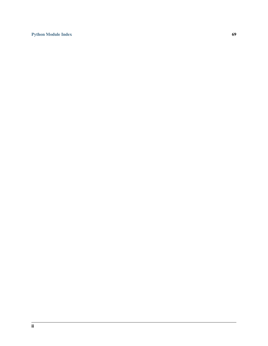[Python Module Index](#page-72-0) 69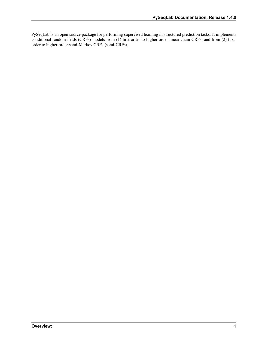PySeqLab is an open source package for performing supervised learning in structured prediction tasks. It implements conditional random fields (CRFs) models from (1) first-order to higher-order linear-chain CRFs, and from (2) firstorder to higher-order semi-Markov CRFs (semi-CRFs).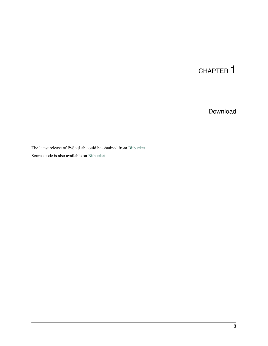# Download

<span id="page-6-0"></span>The latest release of PySeqLab could be obtained from [Bitbucket.](https://bitbucket.org/A_2/pyseqlab/downloads)

Source code is also available on [Bitbucket.](https://bitbucket.org/A_2/pyseqlab/overview)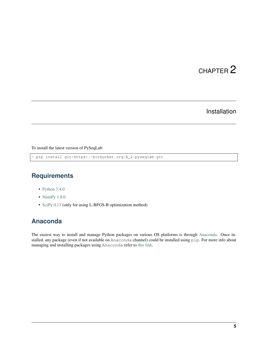## Installation

<span id="page-8-0"></span>To install the latest version of PySeqLab:

> pip install git+https://bitbucket.org/A\_2/pyseqlab.git

## <span id="page-8-1"></span>**Requirements**

- [Python 3.4.0](http://python.org)
- [NumPy 1.8.0](http://numpy.org)
- [SciPy 0.13](http://scipy.org) (only for using L-BFGS-B optimization method)

## <span id="page-8-2"></span>**Anaconda**

The easiest way to install and manage Python packages on various OS platforms is through [Anaconda.](https://www.continuum.io/downloads) Once installed, any package (even if not available on Anaconda channel) could be installed using pip. For more info about managing and installing packages using Anaconda refer to [this link.](http://conda.pydata.org/docs/using/pkgs.html)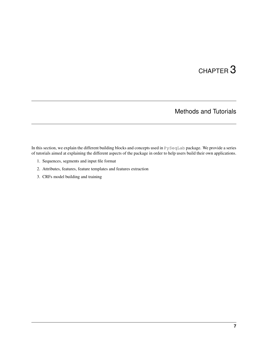# Methods and Tutorials

<span id="page-10-0"></span>In this section, we explain the different building blocks and concepts used in PySeqLab package. We provide a series of tutorials aimed at explaining the different aspects of the package in order to help users build their own applications.

- 1. Sequences, segments and input file format
- 2. Attributes, features, feature templates and features extraction
- 3. CRFs model building and training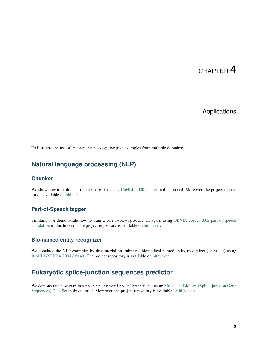## Applications

<span id="page-12-0"></span>To illustrate the use of PySeqLab package, we give examples from multiple domains:

# <span id="page-12-1"></span>**Natural language processing (NLP)**

### **Chunker**

We show how to build and train a chunker using [CoNLL 2000 dataset](http://www.cnts.ua.ac.be/conll2000/chunking/) in this tutorial. Moreover, the project repository is available on [bitbucket.](https://bitbucket.org/A_2/conll00-chunker)

### **Part-of-Speech tagger**

Similarly, we demonstrate how to train a part-of-speech tagger using [GENIA corpus 3.02 part of speech](http://www.geniaproject.org/genia-corpus/pos-annotation) [annotation](http://www.geniaproject.org/genia-corpus/pos-annotation) in this tutorial. The project repository is available on [bitbucket.](https://bitbucket.org/A_2/part-of-speech-tagger)

### **Bio-named entity recognizer**

We conclude the NLP examples by this tutorial on training a biomedical named entity recognizer (BioNER) using [BioNLP/NLPBA 2004 dataset.](http://www.nactem.ac.uk/tsujii/GENIA/ERtask/report.html) The project repository is available on [bitbucket.](https://bitbucket.org/A_2/bio-entity-recognition)

# <span id="page-12-2"></span>**Eukaryotic splice-junction sequences predictor**

We demonstrate how to train a splice-junction classifier using [Molecular Biology \(Splice-junction Gene](http://archive.ics.uci.edu/ml/datasets/Molecular+Biology+%28Splice-junction+Gene+Sequences%29) [Sequences\) Data Set](http://archive.ics.uci.edu/ml/datasets/Molecular+Biology+%28Splice-junction+Gene+Sequences%29) in this tutorial. Moreover, the project repository is available on [bitbucket.](https://bitbucket.org/A_2/splice_junction_prediction)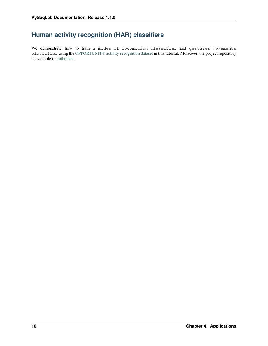# <span id="page-13-0"></span>**Human activity recognition (HAR) classifiers**

We demonstrate how to train a modes of locomotion classifier and gestures movements classifier using the [OPPORTUNITY activity recognition dataset](https://archive.ics.uci.edu/ml/datasets/OPPORTUNITY+Activity+Recognition) in this tutorial. Moreover, the project repository is available on [bitbucket.](https://bitbucket.org/A_2/har_activity_recognition)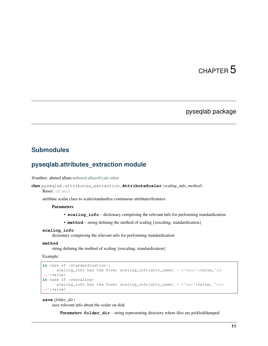### pyseqlab package

### <span id="page-14-1"></span><span id="page-14-0"></span>**Submodules**

## <span id="page-14-2"></span>**pyseqlab.attributes\_extraction module**

@author: ahmed allam [<ahmed.allam@yale.edu>](mailto:ahmed.allam@yale.edu)

```
class pyseqlab.attributes_extraction.AttributeScaler(scaling_info, method)
    object
```
attribute scalar class to scale/standardize continuous attributes/features

### **Parameters**

- **scaling\_info** dictionary comprising the relevant info for performing standardization
- **method** string defining the method of scaling {rescaling, standardization}

#### **scaling\_info**

dictionary comprising the relevant info for performing standardization

#### **method**

string defining the method of scaling {rescaling, standardization}

Example:

```
in case of *standardization*:
    - scaling_info has the form: scaling_info[attr_name] = {'mean':value,'sd
˓→':value}
in case of *rescaling*
    - scaling_info has the form: scaling_info[attr_name] = {'max':value, 'min
˓→':value}
```
**save**(*folder\_dir*)

save relevant info about the scaler on disk

Parameters **folder\_dir** – string representing directory where files are pickled/dumped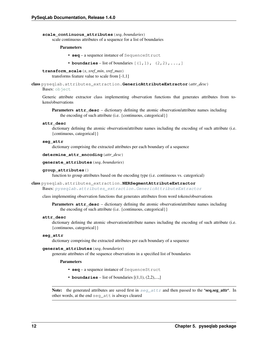#### **scale\_continuous\_attributes**(*seq*, *boundaries*)

scale continuous attributes of a sequence for a list of boundaries

#### Parameters

- **seq** a sequence instance of SequenceStruct
- **boundaries** list of boundaries  $[(1,1), (2,2), \ldots]$
- **transform\_scale**(*x*, *xref\_min*, *xref\_max*) transforms feature value to scale from [-1,1]

```
class pyseqlab.attributes_extraction.GenericAttributeExtractor(attr_desc)
```
### Bases: [object](https://docs.python.org/2/library/functions.html#object)

Generic attribute extractor class implementing observation functions that generates attributes from tokens/observations

Parameters **attr\_desc** – dictionary defining the atomic observation/attribute names including the encoding of such attribute (i.e. {continuous, categorical}}

#### **attr\_desc**

dictionary defining the atomic observation/attribute names including the encoding of such attribute (i.e. {continuous, categorical}}

#### **seg\_attr**

dictionary comprising the extracted attributes per each boundary of a sequence

```
determine_attr_encoding(attr_desc)
```
#### **generate\_attributes**(*seq*, *boundaries*)

#### **group\_attributes**()

function to group attributes based on the encoding type (i.e. continuous vs. categorical)

class pyseqlab.attributes\_extraction.**NERSegmentAttributeExtractor** Bases: [pyseqlab.attributes\\_extraction.GenericAttributeExtractor](#page-15-0)

class implementing observation functions that generates attributes from word tokens/observations

Parameters **attr\_desc** – dictionary defining the atomic observation/attribute names including the encoding of such attribute (i.e. {continuous, categorical}}

#### **attr\_desc**

dictionary defining the atomic observation/attribute names including the encoding of such attribute (i.e. {continuous, categorical}}

#### <span id="page-15-1"></span>**seg\_attr**

dictionary comprising the extracted attributes per each boundary of a sequence

#### **generate\_attributes**(*seq*, *boundaries*)

generate attributes of the sequence observations in a specified list of boundaries

#### Parameters

- **seq** a sequence instance of SequenceStruct
- **boundaries** list of boundaries  $[(1,1), (2,2), \ldots]$

Note: the generated attributes are saved first in  $seq\_attr$  and then passed to the 'seq.[seg\\_attr](#page-15-1)'. In other words, at the end seg\_att is always cleared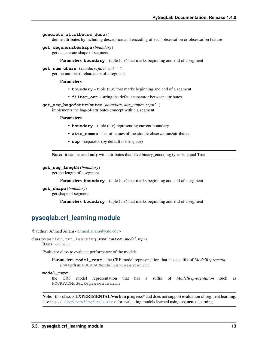#### **generate\_attributes\_desc**()

define attributes by including description and encoding of each observation or observation feature

**get\_degenerateshape**(*boundary*)

get degenerate shape of segment

**Parameters boundary** – tuple (u,v) that marks beginning and end of a segment

**get\_num\_chars**(*boundary*, *filter\_out=' '*) get the number of characters of a segment

#### Parameters

- **boundary** tuple (u,v) that marks beginning and end of a segment
- **filter\_out** string the default separator between attributes

**get\_seg\_bagofattributes**(*boundary*, *attr\_names*, *sep=' '*) implements the bag-of-attributes concept within a segment

Parameters

- **boundary** tuple (u,v) representing current boundary
- **attr** names list of names of the atomic observations/attributes
- **sep** separator (by default is the space)

Note: it can be used only with attributes that have binary encoding type set equal True

```
get_seg_length(boundary)
```
get the length of a segment

**Parameters boundary** – tuple  $(u, v)$  that marks beginning and end of a segment

**get\_shape**(*boundary*) get shape of segment

**Parameters boundary** – tuple  $(u, v)$  that marks beginning and end of a segment

### <span id="page-16-0"></span>**pyseqlab.crf\_learning module**

@author: Ahmed Allam [<ahmed.allam@yale.edu>](mailto:ahmed.allam@yale.edu)

```
class pyseqlab.crf_learning.Evaluator(model_repr)
```
Bases: [object](https://docs.python.org/2/library/functions.html#object)

Evaluator class to evaluate performance of the models

Parameters **model\_repr** – the CRF model representation that has a suffix of *ModelRepresentation* such as HOCRFADModelRepresentation

#### **model\_repr**

the CRF model representation that has a suffix of *ModelRepresentation* such as HOCRFADModelRepresentation

Note: this class is **EXPERIMENTAL/work in progress**<sup>\*</sup> and does not support evaluation of segment learning. Use instead  $SeqDecodingEvaluato$  for evaluating models learned using **sequence** learning.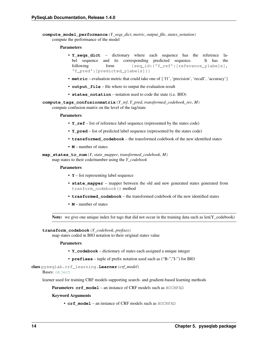**compute\_model\_performance**(*Y\_seqs\_dict*, *metric*, *output\_file*, *states\_notation*) compute the performance of the model

#### Parameters

- **Y\_seqs\_dict** dictionary where each sequence has the reference label sequence and its corresponding predicted sequence. It has the following form {seq\_id:{'Y\_ref':[reference\_ylabels], 'Y\_pred':[predicted\_ylabels]}}
- **metric** evaluation metric that could take one of {'f1', 'precision', 'recall', 'accuracy'}
- **output\_file** file where to output the evaluation result
- **states\_notation** notation used to code the state (i.e. BIO)

**compute\_tags\_confusionmatrix**(*Y\_ref*, *Y\_pred*, *transformed\_codebook\_rev*, *M*) compute confusion matrix on the level of the tag/state

#### Parameters

- **Y** ref list of reference label sequence (represented by the states code)
- **Y\_pred** list of predicted label sequence (represented by the states code)
- **transformed\_codebook** the transformed codebook of the new identified states
- **M** number of states

**map\_states\_to\_num**(*Y*, *state\_mapper*, *transformed\_codebook*, *M*) map states to their code/number using the *Y\_codebook*

#### Parameters

- **Y** list representing label sequence
- **state\_mapper** mapper between the old and new generated states generated from tranform\_codebook() method
- **trasformed\_codebook** the transformed codebook of the new identified states
- **M** number of states

Note: we give one unique index for tags that did not occur in the training data such as len(Y\_codebook)

#### **transform\_codebook**(*Y\_codebook*, *prefixes*)

map states coded in BIO notation to their original states value

#### Parameters

- **Y\_codebook** dictionary of states each assigned a unique integer
- **prefixes** tuple of prefix notation used such as ("B-","I-") for BIO

class pyseqlab.crf\_learning.**Learner**(*crf\_model*)

#### Bases: [object](https://docs.python.org/2/library/functions.html#object)

learner used for training CRF models supporting search- and gradient-based learning methods

Parameters **crf\_model** – an instance of CRF models such as HOCRFAD

#### Keyword Arguments

• **crf\_model** – an instance of CRF models such as HOCRFAD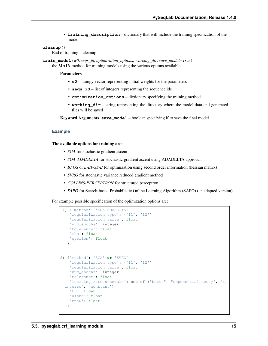• **training description** – dictionary that will include the training specification of the model

#### **cleanup**()

End of training – cleanup

**train\_model**(*w0*, *seqs\_id*, *optimization\_options*, *working\_dir*, *save\_model=True*) the MAIN method for training models using the various options available

Parameters

- **w0** numpy vector representing initial weights for the parameters
- **seqs\_id** list of integers representing the sequence ids
- **optimization\_options** dictionary specifying the training method
- **working\_dir** string representing the directory where the model data and generated files will be saved

Keyword Arguments **save\_model** – boolean specifying if to save the final model

#### **Example**

#### The available options for training are:

- *SGA* for stochastic gradient ascent
- *SGA-ADADELTA* for stochastic gradient ascent using ADADELTA approach
- *BFGS* or *L-BFGS-B* for optimization using second order information (hessian matrix)
- *SVRG* for stochastic variance reduced gradient method
- *COLLINS-PERCEPTRON* for structured perceptron
- *SAPO* for Search-based Probabilistic Online Learning Algorithm (SAPO) (an adapted version)

For example possible specification of the optimization options are:

```
1) {'method': 'SGA-ADADELTA'
    'regularization_type': {'l1', 'l2'}
    'regularization_value': float
    'num_epochs': integer
    'tolerance': float
    'rho': float
    'epsilon': float
   }
2) {'method': 'SGA' or 'SVRG'
    'regularization_type': {'l1', 'l2'}
    'regularization_value': float
    'num_epochs': integer
    'tolerance': float
    'learning_rate_schedule': one of ("bottu", "exponential_decay", "t_
˓→inverse", "constant")
    't0': float
    'alpha': float
    'eta0': float
   }
```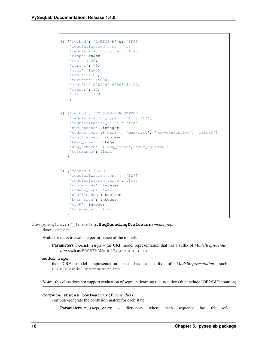```
3) {'method': 'L-BFGS-B' or 'BFGS'
    'regularization_type': 'l2'
    'regularization_value': float
    'disp': False
    'maxls': 20,
    'iprint': -1,
    'gtol': 1e-05,
    'eps': 1e-08,
    'maxiter': 15000,
    'ftol': 2.220446049250313e-09,
    'maxcor': 10,
    'maxfun': 15000
    }
4) {'method': 'COLLINS-PERCEPTRON'
    'regularization_type': {'l1', 'l2'}
    'regularization_value': float
    'num_epochs': integer
    'update_type':{'early', 'max-fast', 'max-exhaustive', 'latest'}
    'shuffle_seq': boolean
    'beam_size': integer
    'avg_scheme': {'avg_error', 'avg_uniform'}
    'tolerance': float
   }
5) {'method': 'SAPO'
    'regularization_type': {'l2'}
    'regularization_value': float
    'num_epochs': integer
    'update_type':'early'
    'shuffle_seq': boolean
    'beam_size': integer
    'topK': integer
    'tolerance': float
   }
```
<span id="page-19-0"></span>class pyseqlab.crf\_learning.**SeqDecodingEvaluator**(*model\_repr*)

```
object
```
Evaluator class to evaluate performance of the models

Parameters **model\_repr** – the CRF model representation that has a suffix of *ModelRepresentation* such as HOCRFADModelRepresentation

#### **model\_repr**

```
the CRF model representation that has a suffix of ModelRepresentation such as
HOCRFADModelRepresentation
```
Note: this class does not support evaluation of segment learning (i.e. notations that include IOB2/BIO notation)

### **compute\_states\_confmatrix**(*Y\_seqs\_dict*)

compute/generate the confusion matrix for each state

Parameters **Y\_seqs\_dict** – dictionary where each sequence has the ref-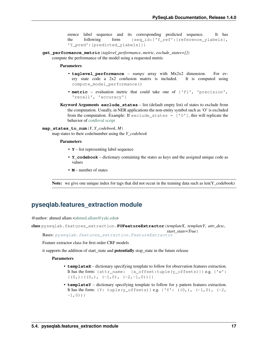erence label sequence and its corresponding predicted sequence. It has the following form {seq\_id:{'Y\_ref':[reference\_ylabels], 'Y\_pred':[predicted\_ylabels]}}

**get\_performance\_metric**(*taglevel\_performance*, *metric*, *exclude\_states=[]*)

compute the performance of the model using a requested metric

#### Parameters

- **taglevel\_performance** *numpy* array with Mx2x2 dimension. For every state code a 2x2 confusion matrix is included. It is computed using compute\_model\_performance()
- **metric** evaluation metric that could take one of {'f1', 'precision', 'recall', 'accuracy'}
- Keyword Arguments **exclude\_states** list (default empty list) of states to exclude from the computation. Usually, in NER applications the non-entity symbol such as 'O' is excluded from the computation. Example: If  $exclude\_states = ['O']$ , this will replicate the behavior of [conlleval script](http://www.cnts.ua.ac.be/conll2000/chunking/output.html)

#### **map\_states\_to\_num**(*Y*, *Y\_codebook*, *M*)

map states to their code/number using the *Y\_codebook*

#### Parameters

- **Y** list representing label sequence
- **Y\_codebook** dictionary containing the states as keys and the assigned unique code as values
- **M** number of states

**Note:** we give one unique index for tags that did not occur in the training data such as  $len(Y_{code})$ 

## <span id="page-20-0"></span>**pyseqlab.features\_extraction module**

@author: ahmed allam [<ahmed.allam@yale.edu>](mailto:ahmed.allam@yale.edu)

class pyseqlab.features\_extraction.**FOFeatureExtractor**(*templateX*, *templateY*, *attr\_desc*,

*start\_state=True*) Bases: [pyseqlab.features\\_extraction.FeatureExtractor](#page-21-0)

Feature extractor class for first order CRF models

it supports the addition of start state and **potentially** stop state in the future release

- **templateX** dictionary specifying template to follow for observation features extraction. It has the form: {attr\_name: {x\_offset:tuple(y\_offsets)}} e.g. {'w':  $\{ (0,):((0,),(-1,0),(-2,-1,0)) \}$
- **templateY** dictionary specifying template to follow for y pattern features extraction. It has the form:  $\{Y: \text{tuple}(y\_offsets)\}$  e.g.  $\{Y': \{(0,), (-1, 0), (-2,$  $-1,0)$  } }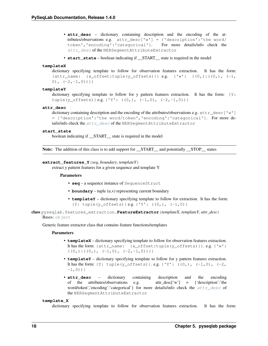- **attr desc** dictionary containing description and the encoding of the attributes/observations e.g. attr\_desc['w'] = {'description':'the word/ token','encoding':'categorical'}. For more details/info check the [attr\\_desc](#page-21-1) of the NERSegmentAttributeExtractor
- **start\_state** boolean indicating if \_\_START\_\_ state is required in the model

#### **templateX**

```
dictionary specifying template to follow for observation features extraction. It has the form:
{attr_name: \{x_offset:tuple(y_offsets))\} e.g. {'w': {(0,):(0,), (-1,0), (-2, -1, 0)}}
```
#### **templateY**

dictionary specifying template to follow for y pattern features extraction. It has the form:  ${Y:}$ tuple(y\_offsets) } e.g. {'Y':  $((0,), (-1,0), (-2,-1,0))$  }

#### <span id="page-21-1"></span>**attr\_desc**

dictionary containing description and the encoding of the attributes/observations e.g.  $attr\_desc['w']$ = {'description':'the word/token','encoding':'categorical'}. For more details/info check the  $attr$  desc of the NERSegmentAttributeExtractor

#### **start\_state**

boolean indicating if \_\_START\_\_ state is required in the model

Note: The addition of this class is to add support for \_\_START\_\_ and potentially \_\_STOP\_\_ states

#### **extract\_features\_Y**(*seq*, *boundary*, *templateY*)

extract y pattern features for a given sequence and template Y

#### Parameters

- **seq** a sequence instance of SequenceStruct
- **boundary** tuple (u,v) representing current boundary
- **templateY** dictionary specifying template to follow for extraction. It has the form:  ${Y: tuple(y_ofsets) } e.g. { 'Y': ((0,), (-1,0) }$

<span id="page-21-0"></span>class pyseqlab.features\_extraction.**FeatureExtractor**(*templateX*, *templateY*, *attr\_desc*) Bases: [object](https://docs.python.org/2/library/functions.html#object)

Generic feature extractor class that contains feature functions/templates

#### **Parameters**

- **templateX** dictionary specifying template to follow for observation features extraction. It has the form: {attr\_name: {x\_offset:tuple(y\_offsets)}}. e.g. {'w':  $\{ (0,):((0,),(-1,0),(-2,-1,0)) \}$
- **templateY** dictionary specifying template to follow for y pattern features extraction. It has the form: {Y: tuple(y\_offsets) }. e.g. {'Y':  $((0,), (-1,0), (-2,$  $-1,0)$  ) }
- **attr\_desc** dictionary containing description and the encoding of the attributes/observations e.g. attr\_desc['w'] = {'description':'the word/token','encoding':'categorical' for more details/info check the  $attr\_desc$  of the NERSegmentAttributeExtractor

#### <span id="page-21-2"></span>**template\_X**

dictionary specifying template to follow for observation features extraction. It has the form: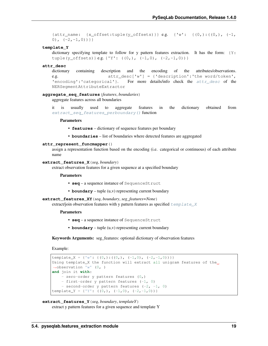{attr\_name: {x\_offset:tuple(y\_offsets)} } e.g. {'w': { $(0,):$   $((0,)$ ,  $(-1,$ 0),  $(-2, -1, 0)$ }}

#### **template\_Y**

dictionary specifying template to follow for y pattern features extraction. It has the form:  ${Y:}$ tuple(y\_offsets) } e.g. {'Y':  $((0,), (-1,0), (-2,-1,0))$  }

#### <span id="page-22-0"></span>**attr\_desc**

dictionary containing description and the encoding of the attributes/observations. e.g. attr\_desc['w'] = {'description':'the word/token', 'encoding':'categorical'}. For more details/info check the  $attr\_desc$  of the NERSegmentAttributeExtractor

### **aggregate\_seq\_features**(*features*, *boundaries*)

aggregate features across all boundaries

it is usually used to aggregate features in the dictionary obtained from [extract\\_seq\\_features\\_perboundary\(\)](#page-23-0) function

#### **Parameters**

- **features** dictionary of sequence features per boundary
- **boundaries** list of boundaries where detected features are aggregated

### **attr\_represent\_funcmapper**()

assign a representation function based on the encoding (i.e. categorical or continuous) of each attribute name

#### **extract\_features\_X**(*seq*, *boundary*)

extract observation features for a given sequence at a specified boundary

Parameters

- **seq** a sequence instance of SequenceStruct
- **boundary** tuple (u,v) representing current boundary

#### **extract\_features\_XY**(*seq*, *boundary*, *seg\_features=None*)

extract/join observation features with y pattern features as specified  $t$  emplate X

#### **Parameters**

- **seq** a sequence instance of SequenceStruct
- **boundary** tuple (u,v) representing current boundary

Keywords Arguments: seg\_features: optional dictionary of observation features

Example:

```
template_X = {'w': {(0,):(0,), (-1,0), (-2,-1,0)) }}
Using template_X the function will extract all unigram features of the_
˓→observation 'w' (0, )
and join it with:
    - zero-order y pattern features (0,)
   - first-order y pattern features (-1, 0)
   - second-order y pattern features (-2, -1, 0)template_Y = {'Y': ((0,), (-1,0), (-2,-1,0)) }
```
#### **extract\_features\_Y**(*seq*, *boundary*, *templateY*)

extract y pattern features for a given sequence and template Y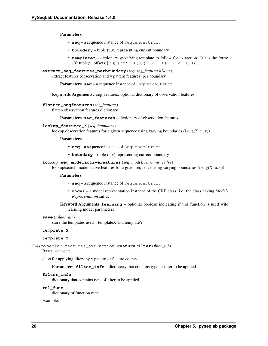Parameters

- **seq** a sequence instance of SequenceStruct
- **boundary** tuple (u,v) representing current boundary
- **templateY** dictionary specifying template to follow for extraction. It has the form:  ${Y: tuple(y \text{ offsets})}$  e.g.  ${Y'': ((0,), (-1,0), (-2,-1,0))}$
- <span id="page-23-0"></span>**extract\_seq\_features\_perboundary**(*seq*, *seg\_features=None*) extract features (observation and y pattern features) per boundary

Parameters seq – a sequence instance of SequenceStruct

Keywords Arguments: seg\_features: optional dictionary of observation features

#### **flatten\_segfeatures**(*seg\_features*)

flatten observation features dictionary

Parameters **seg\_features** – dictionary of observation features

#### **lookup\_features\_X**(*seq*, *boundary*)

lookup observation features for a given sequence using varying boundaries (i.e.  $g(X, u, v)$ )

#### Parameters

- **seq** a sequence instance of SequenceStruct
- **boundary** tuple (u,v) representing current boundary

#### **lookup\_seq\_modelactivefeatures**(*seq*, *model*, *learning=False*)

lookup/search model active features for a given sequence using varying boundaries (i.e.  $g(X, u, v)$ )

#### Parameters

- **seq** a sequence instance of SequenceStruct
- **model** a model representation instance of the CRF class (i.e. the class having *Model-Representation* suffix)
- Keyword Arguments **learning** optional boolean indicating if this function is used wile learning model parameters

#### **save**(*folder\_dir*)

store the templates used – templateX and templateY

#### **template\_X**

#### **template\_Y**

<span id="page-23-1"></span>class pyseqlab.features\_extraction.**FeatureFilter**(*filter\_info*)

Bases: [object](https://docs.python.org/2/library/functions.html#object)

class for applying filters by y pattern or feature counts

Parameters filter\_info - dictionary that contains type of filter to be applied

#### **filter\_info**

dictionary that contains type of filter to be applied

#### **rel\_func**

dictionary of function map

Example: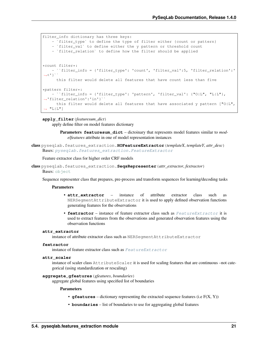```
filter_info dictionary has three keys:
      `filter_type` to define the type of filter either {count or pattern}
   - `filter_val` to define either the y pattern or threshold count
   - `filter_relation` to define how the filter should be applied
*count filter*:
   - ``filter_info = {'filter_type': 'count', 'filter_val':5, 'filter_relation':'
˓→<'}``
     this filter would delete all features that have count less than five
*pattern filter*:
   - ``filter_info = {'filter_type': 'pattern', 'filter_val': {"O|L", "L|L"},
˓→'filter_relation':'in'}``
     this filter would delete all features that have associated y pattern ["0|L",ightharpoonup "L|L"]
```
#### **apply\_filter**(*featuresum\_dict*)

apply define filter on model features dictionary

Parameters **featuresum\_dict** – dictoinary that represents model features similar to *modelfeatures* attribute in one of model representation instances

```
class pyseqlab.features_extraction.HOFeatureExtractor(templateX, templateY, attr_desc)
    Bases: pyseqlab.features_extraction.FeatureExtractor
```
Feature extractor class for higher order CRF models

```
class pyseqlab.features_extraction.SeqsRepresenter(attr_extractor, fextractor)
    object
```
Sequence representer class that prepares, pre-process and transform sequences for learning/decoding tasks

### **Parameters**

- **attr** extractor instance of attribute extractor class such as NERSegmentAttributeExtractor it is used to apply defined observation functions generating features for the observations
- **fextractor** instance of feature extractor class such as [FeatureExtractor](#page-21-0) it is used to extract features from the observations and generated observation features using the observation functions

#### **attr\_extractor**

instance of attribute extractor class such as NERSegmentAttributeExtractor

### **fextractor**

instance of feature extractor class such as [FeatureExtractor](#page-21-0)

### **attr\_scaler**

instance of scaler class AttributeScaler it is used for scaling features that are continuous –not categorical (using standardization or rescaling)

#### **aggregate\_gfeatures**(*gfeatures*, *boundaries*)

aggregate global features using specified list of boundaries

- **gfeatures** dictionary representing the extracted sequence features (i.e F(X, Y))
- **boundaries** list of boundaries to use for aggregating global features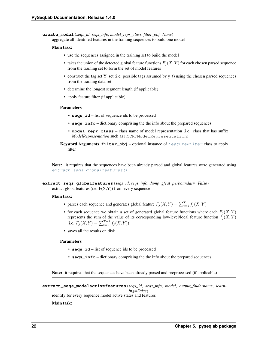**create\_model**(*seqs\_id*, *seqs\_info*, *model\_repr\_class*, *filter\_obj=None*) aggregate all identified features in the training sequences to build one model

#### Main task:

- use the sequences assigned in the training set to build the model
- takes the union of the detected global feature functions  $F_i(X, Y)$  for each chosen parsed sequence from the training set to form the set of model features
- construct the tag set Y\_set (i.e. possible tags assumed by y\_t) using the chosen parsed sequences from the training data set
- determine the longest segment length (if applicable)
- apply feature filter (if applicable)

#### Parameters

- **seqs\_id** list of sequence ids to be processed
- **seqs** info dictionary comprising the the info about the prepared sequences
- **model\_repr\_class** class name of model representation (i.e. class that has suffix *ModelRepresentation* such as HOCRFModelRepresentation)
- Keyword Arguments **filter\_obj** optional instance of [FeatureFilter](#page-23-1) class to apply filter

Note: it requires that the sequences have been already parsed and global features were generated using [extract\\_seqs\\_globalfeatures\(\)](#page-25-0)

#### Main task:

- parses each sequence and generates global feature  $F_j(X, Y) = \sum_{t=1}^T f_j(X, Y)$
- for each sequence we obtain a set of generated global feature functions where each  $F_i(X, Y)$ represents the sum of the value of its corresponding low-level/local feature function  $f_j(X, Y)$ (i.e.  $F_j(X, Y) = \sum_{t=1}^{T+1} f_j(X, Y)$ )
- saves all the results on disk

#### Parameters

- **seqs\_id** list of sequence ids to be processed
- **seqs\_info** dictionary comprising the the info about the prepared sequences

Note: it requires that the sequences have been already parsed and preprocessed (if applicable)

```
extract_seqs_modelactivefeatures(seqs_id, seqs_info, model, output_foldername, learn-
                                        ing=False)
```
identify for every sequence model active states and features

Main task:

<span id="page-25-0"></span>**extract\_seqs\_globalfeatures**(*seqs\_id*, *seqs\_info*, *dump\_gfeat\_perboundary=False*) extract globalfeatures (i.e.  $F(X, Y)$ ) from every sequence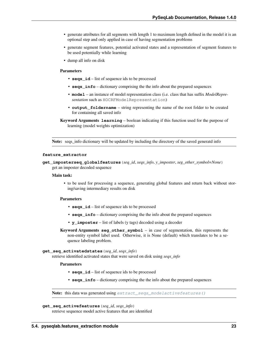- generate attributes for all segments with length 1 to maximum length defined in the model it is an optional step and only applied in case of having segmentation problems
- generate segment features, potential activated states and a representation of segment features to be used potentially while learning
- dump all info on disk

#### Parameters

- **seqs\_id** list of sequence ids to be processed
- **seqs\_info** dictionary comprising the the info about the prepared sequences
- **model** an instance of model representation class (i.e. class that has suffix *ModelRepresentation* such as HOCRFModelRepresentation)
- **output\_foldername** string representing the name of the root folder to be created for containing all saved info

Note: seqs\_info dictionary will be updated by including the directory of the saved generatd info

#### **feature\_extractor**

```
get_imposterseq_globalfeatures(seq_id, seqs_info, y_imposter, seg_other_symbol=None)
    get an imposter decoded sequence
```
#### Main task:

• to be used for processing a sequence, generating global features and return back without storing/saving intermediary results on disk

#### Parameters

- **seqs\_id** list of sequence ids to be processed
- **seqs** info dictionary comprising the the info about the prepared sequences
- **y\_imposter** list of labels (y tags) decoded using a decoder
- Keyword Arguments **seg\_other\_symbol** in case of segmentation, this represents the non-entity symbol label used. Otherwise, it is None (default) which translates to be a sequence labeling problem.

#### **get\_seq\_activatedstates**(*seq\_id*, *seqs\_info*)

retrieve identified activated states that were saved on disk using *seqs\_info*

#### Parameters

- **seqs\_id** list of sequence ids to be processed
- **seqs\_info** dictionary comprising the the info about the prepared sequences

Note: this data was generated using [extract\\_seqs\\_modelactivefeatures\(\)](#page-25-1)

```
get_seq_activefeatures(seq_id, seqs_info)
```
retrieve sequence model active features that are identified

Keyword Arguments **learning** – boolean indicating if this function used for the purpose of learning (model weights optimization)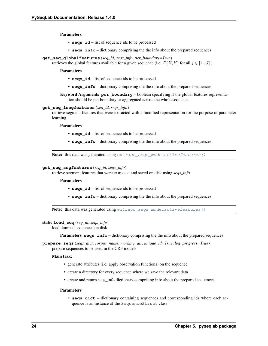Parameters

- **seqs\_id** list of sequence ids to be processed
- **seqs\_info** dictionary comprising the the info about the prepared sequences
- **get\_seq\_globalfeatures**(*seq\_id*, *seqs\_info*, *per\_boundary=True*)

retrieves the global features available for a given sequence (i.e.  $F(X, Y)$  for all  $j \in [1...J]$ )

Parameters

- **seqs\_id** list of sequence ids to be processed
- **seqs\_info** dictionary comprising the the info about the prepared sequences

Keyword Arguments **per\_boundary** – boolean specifying if the global features representation should be per boundary or aggregated across the whole sequence

#### **get\_seq\_lsegfeatures**(*seq\_id*, *seqs\_info*)

retrieve segment features that were extracted with a modified representation for the purpose of parameter learning

#### Parameters

- **seqs\_id** list of sequence ids to be processed
- **seqs\_info** dictionary comprising the the info about the prepared sequences

Note: this data was generated using  $extract\_seg\_modelactivefeatures()$ 

#### **get\_seq\_segfeatures**(*seq\_id*, *seqs\_info*)

retrieve segment features that were extracted and saved on disk using *seqs\_info*

#### Parameters

- **seqs\_id** list of sequence ids to be processed
- **seqs\_info** dictionary comprising the the info about the prepared sequences

Note: this data was generated using [extract\\_seqs\\_modelactivefeatures\(\)](#page-25-1)

#### static **load\_seq**(*seq\_id*, *seqs\_info*)

load dumped sequences on disk

Parameters **seqs\_info** – dictionary comprising the the info about the prepared sequences

**prepare\_seqs**(*seqs\_dict*, *corpus\_name*, *working\_dir*, *unique\_id=True*, *log\_progress=True*) prepare sequences to be used in the CRF models

#### Main task:

- generate attributes (i.e. apply observation functions) on the sequence
- create a directory for every sequence where we save the relevant data
- create and return seqs\_info dictionary comprising info about the prepared sequences

#### Parameters

• **seqs\_dict** – dictionary containing sequences and corresponding ids where each sequence is an instance of the SequenceStruct class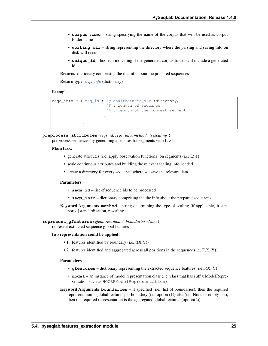- **corpus name** string specifying the name of the corpus that will be used as corpus folder name
- **working\_dir** string representing the directory where the parsing and saving info on disk will occur
- **unique** id boolean indicating if the generated corpus folder will include a generated id

Returns dictionary comprising the the info about the prepared sequences

Return type *[seqs\\_info](#page-33-1)* (dictionary)

Example:

```
seqs_info = {'seq_id':{'globalfeatures_dir':directory,
                       'T': length of sequence
                       'L': length of the longest segment
                      }
                      ....
             }
```
**preprocess\_attributes**(*seqs\_id*, *seqs\_info*, *method='rescaling'*) preprocess sequences by generating attributes for segments with  $L > 1$ 

#### Main task:

- generate attributes (i.e. apply observation functions) on segments (i.e. L>1)
- scale continuous attributes and building the relevant scaling info needed
- create a directory for every sequence where we save the relevant data

#### Parameters

- **seqs\_id** list of sequence ids to be processed
- **seqs\_info** dictionary comprising the the info about the prepared sequences
- Keyword Arguments **method** string determining the type of scaling (if applicable) it supports {standardization, rescaling}

#### **represent\_gfeatures**(*gfeatures*, *model*, *boundaries=None*)

represent extracted sequence global features

#### two representation could be applied:

- $\bullet$  1. features identified by boundary (i.e.  $f(X,Y)$ )
- 2. features identified and aggregated across all positions in the sequence (i.e.  $F(X, Y)$ )

- **gfeatures** dictionary representing the extracted sequence features (i.e F(X, Y))
- **model** an instance of model representation class (i.e. class that has suffix ModelRepresentation such as HOCRFModelRepresentation)
- Keyword Arguments **boundaries** if specified (i.e. list of boundaries), then the required representation is global features per boundary (i.e. option (1)) else (i.e. None or empty list), then the required representation is the aggregated global features (option(2))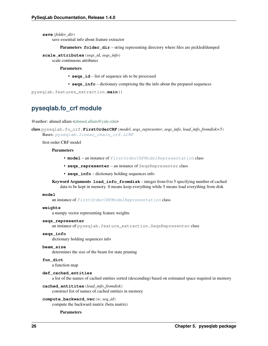**save**(*folder\_dir*)

save essential info about feature extractor

**Parameters folder\_dir** – string representing directory where files are pickled/dumped

```
scale_attributes(seqs_id, seqs_info)
```
scale continuous attributes

Parameters

- **seqs\_id** list of sequence ids to be processed
- **seqs\_info** dictionary comprising the the info about the prepared sequences

pyseqlab.features\_extraction.**main**()

# <span id="page-29-0"></span>**pyseqlab.fo\_crf module**

@author: ahmed allam [<ahmed.allam@yale.edu>](mailto:ahmed.allam@yale.edu)

<span id="page-29-1"></span>class pyseqlab.fo\_crf.**FirstOrderCRF**(*model*, *seqs\_representer*, *seqs\_info*, *load\_info\_fromdisk=5*) Bases: [pyseqlab.linear\\_chain\\_crf.LCRF](#page-40-1)

first-order CRF model

#### Parameters

- **model** an instance of [FirstOrderCRFModelRepresentation](#page-31-0) class
- **seqs\_representer** an instance of SeqsRepresenter class
- **seqs\_info** dictionary holding sequences info

Keyword Arguments **load\_info\_fromdisk** – integer from 0 to 5 specifying number of cached data to be kept in memory. 0 means keep everything while 5 means load everything from disk

#### **model**

an instance of [FirstOrderCRFModelRepresentation](#page-31-0) class

#### **weights**

a numpy vector representing feature weights

#### **seqs\_representer**

an instance of pyseqlab.feature\_extraction.SeqsRepresenter class

#### **seqs\_info**

dictionary holding sequences info

#### **beam\_size**

determines the size of the beam for state pruning

#### **fun\_dict**

a function map

#### **def\_cached\_entities**

a list of the names of cached entities sorted (descending) based on estimated space required in memory

**cached\_entitites**(*load\_info\_fromdisk*)

construct list of names of cached entities in memory

#### **compute\_backward\_vec**(*w*, *seq\_id*)

compute the backward matrix (beta matrix)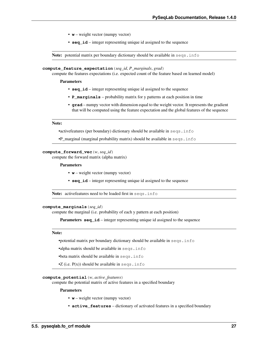- **w** weight vector (numpy vector)
- **seq\_id** integer representing unique id assigned to the sequence

Note: potential matrix per boundary dictionary should be available in seqs.info

#### **compute\_feature\_expectation**(*seq\_id*, *P\_marginals*, *grad*)

compute the features expectations (i.e. expected count of the feature based on learned model)

#### Parameters

- **seq\_id** integer representing unique id assigned to the sequence
- **P\_marginals** probability matrix for y patterns at each position in time
- **grad** numpy vector with dimension equal to the weight vector. It represents the gradient that will be computed using the feature expectation and the global features of the sequence

#### Note:

•activefeatures (per boundary) dictionary should be available in seqs.info

•P\_marginal (marginal probability matrix) should be available in seqs.info

#### **compute\_forward\_vec**(*w*, *seq\_id*)

compute the forward matrix (alpha matrix)

#### Parameters

- **w** weight vector (numpy vector)
- **seq\_id** integer representing unique id assigned to the sequence

Note: active features need to be loaded first in seqs.info

#### **compute\_marginals**(*seq\_id*)

compute the marginal (i.e. probability of each y pattern at each position)

**Parameters seq\_id** – integer representing unique id assigned to the sequence

#### Note:

•potential matrix per boundary dictionary should be available in seqs.info

•alpha matrix should be available in seqs.info

•beta matrix should be available in seqs.info

 $\bullet$ Z (i.e.  $P(x)$ ) should be available in seqs.info

#### **compute\_potential**(*w*, *active\_features*)

compute the potential matrix of active features in a specified boundary

- **w** weight vector (numpy vector)
- **active\_features** dictionary of activated features in a specified boundary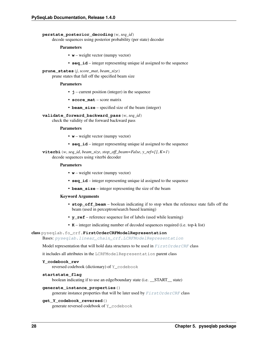#### **perstate\_posterior\_decoding**(*w*, *seq\_id*)

decode sequences using posterior probability (per state) decoder

#### Parameters

- **w** weight vector (numpy vector)
- **seq\_id** integer representing unique id assigned to the sequence

#### **prune\_states**(*j*, *score\_mat*, *beam\_size*)

prune states that fall off the specified beam size

#### Parameters

- **j** current position (integer) in the sequence
- **score\_mat** score matrix
- **beam\_size** specified size of the beam (integer)

#### **validate\_forward\_backward\_pass**(*w*, *seq\_id*)

check the validity of the forward backward pass

#### Parameters

- **w** weight vector (numpy vector)
- **seq\_id** integer representing unique id assigned to the sequence

#### **viterbi** (*w*, *seq\_id*, *beam\_size*, *stop\_off\_beam=False*, *y\_ref=[]*,  $K=1$ ) decode sequences using viterbi decoder

#### Parameters

- **w** weight vector (numpy vector)
- **seq\_id** integer representing unique id assigned to the sequence
- **beam\_size** integer representing the size of the beam

#### Keyword Arguments

- **stop\_off\_beam** boolean indicating if to stop when the reference state falls off the beam (used in perceptron/search based learning)
- **y\_ref** reference sequence list of labels (used while learning)
- **K** integer indicating number of decoded sequences required (i.e. top-k list)

#### <span id="page-31-0"></span>class pyseqlab.fo\_crf.**FirstOrderCRFModelRepresentation**

Bases: [pyseqlab.linear\\_chain\\_crf.LCRFModelRepresentation](#page-45-0)

Model representation that will hold data structures to be used in [FirstOrderCRF](#page-29-1) class

it includes all attributes in the LCRFModelRepresentation parent class

```
Y_codebook_rev
```
reversed codebook (dictionary) of Y\_codebook

#### **startstate\_flag**

boolean indicating if to use an edge/boundary state (i.e. \_\_START\_\_ state)

#### **generate\_instance\_properties**()

generate instance properties that will be later used by  $FirstOrderCRF$  class

#### **get\_Y\_codebook\_reversed**()

generate reversed codebook of Y\_codebook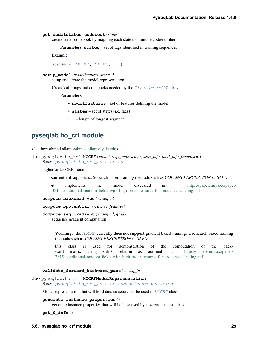#### **get\_modelstates\_codebook**(*states*)

create states codebook by mapping each state to a unique code/number

Parameters states – set of tags identified in training sequences

Example:

```
states = {'B-PP', 'B-NP', ...}
```
#### **setup\_model**(*modelfeatures*, *states*, *L*)

setup and create the model representation

Creates all maps and codebooks needed by the [FirstOrderCRF](#page-29-1) class

#### Parameters

- **modelfeatures** set of features defining the model
- **states** set of states (i.e. tags)
- **L** length of longest segment

### <span id="page-32-0"></span>**pyseqlab.ho\_crf module**

@author: ahmed allam [<ahmed.allam@yale.edu>](mailto:ahmed.allam@yale.edu)

```
class pyseqlab.ho_crf.HOCRF(model, seqs_representer, seqs_info, load_info_fromdisk=5)
     Bases: pyseqlab.ho_crf_ad.HOCRFAD
```
higher-order CRF model

•currently it supports *only* search-based training methods such as *COLLINS-PERCEPTRON* or *SAPO*

•it implements the model discussed in: [https://papers.nips.cc/paper/](https://papers.nips.cc/paper/3815-conditional-random-fields-with-high-order-features-for-sequence-labeling.pdf) [3815-conditional-random-fields-with-high-order-features-for-sequence-labeling.pdf](https://papers.nips.cc/paper/3815-conditional-random-fields-with-high-order-features-for-sequence-labeling.pdf)

**compute\_backward\_vec**(*w*, *seq\_id*)

**compute\_bpotential**(*w*, *active\_features*)

**compute\_seq\_gradient**(*w*, *seq\_id*, *grad*) sequence gradient computation

> Warning: the [HOCRF](#page-32-1) currently does not support gradient based training. Use search based training methods such as *COLLINS-PERCEPTRON* or *SAPO*

> this class is used for demonstration of the computation of the backward matrix using suffix relation as outlined in: [https://papers.nips.cc/paper/](https://papers.nips.cc/paper/3815-conditional-random-fields-with-high-order-features-for-sequence-labeling.pdf) [3815-conditional-random-fields-with-high-order-features-for-sequence-labeling.pdf](https://papers.nips.cc/paper/3815-conditional-random-fields-with-high-order-features-for-sequence-labeling.pdf)

#### **validate\_forward\_backward\_pass**(*w*, *seq\_id*)

class pyseqlab.ho\_crf.**HOCRFModelRepresentation**

Bases: [pyseqlab.ho\\_crf\\_ad.HOCRFADModelRepresentation](#page-35-1)

Model representation that will hold data structures to be used in  $HOCRF$  class

#### **generate\_instance\_properties**()

generate instance properties that will be later used by HOSemiCRFAD class

**get\_S\_info**()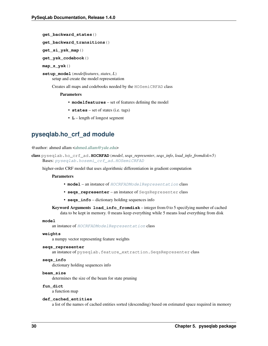```
get_backward_states()
```

```
get_backward_transitions()
```
**get\_si\_ysk\_map**()

**get\_ysk\_codebook**()

**map\_z\_ysk**()

**setup\_model**(*modelfeatures*, *states*, *L*) setup and create the model representation

Creates all maps and codebooks needed by the HOSemiCRFAD class

#### Parameters

- **modelfeatures** set of features defining the model
- **states** set of states (i.e. tags)
- **L** length of longest segment

# <span id="page-33-0"></span>**pyseqlab.ho\_crf\_ad module**

@author: ahmed allam [<ahmed.allam@yale.edu>](mailto:ahmed.allam@yale.edu)

```
class pyseqlab.ho_crf_ad.HOCRFAD(model, seqs_representer, seqs_info, load_info_fromdisk=5)
    Bases: pyseqlab.hosemi_crf_ad.HOSemiCRFAD
```
higher-order CRF model that uses algorithmic differentiation in gradient computation

#### **Parameters**

- **model** an instance of [HOCRFADModelRepresentation](#page-35-1) class
- **seqs\_representer** an instance of SeqsRepresenter class
- **seqs\_info** dictionary holding sequences info

Keyword Arguments **load\_info\_fromdisk** – integer from 0 to 5 specifying number of cached data to be kept in memory. 0 means keep everything while 5 means load everything from disk

#### **model**

an instance of [HOCRFADModelRepresentation](#page-35-1) class

#### **weights**

a numpy vector representing feature weights

#### **seqs\_representer**

an instance of pyseqlab.feature\_extraction.SeqsRepresenter class

### <span id="page-33-1"></span>**seqs\_info**

dictionary holding sequences info

#### **beam\_size** determines the size of the beam for state pruning

**fun\_dict**

a function map

### **def\_cached\_entities**

a list of the names of cached entities sorted (descending) based on estimated space required in memory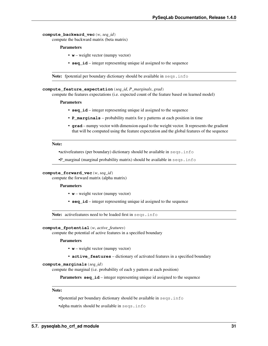**compute\_backward\_vec**(*w*, *seq\_id*)

compute the backward matrix (beta matrix)

#### Parameters

- **w** weight vector (numpy vector)
- **seq\_id** integer representing unique id assigned to the sequence

Note: fpotential per boundary dictionary should be available in seqs.info

#### **compute\_feature\_expectation**(*seq\_id*, *P\_marginals*, *grad*)

compute the features expectations (i.e. expected count of the feature based on learned model)

#### Parameters

- **seq\_id** integer representing unique id assigned to the sequence
- **P\_marginals** probability matrix for y patterns at each position in time
- **grad** numpy vector with dimension equal to the weight vector. It represents the gradient that will be computed using the feature expectation and the global features of the sequence

#### Note:

•activefeatures (per boundary) dictionary should be available in seqs.info

•P\_marginal (marginal probability matrix) should be available in seqs.info

#### **compute\_forward\_vec**(*w*, *seq\_id*)

compute the forward matrix (alpha matrix)

#### Parameters

- **w** weight vector (numpy vector)
- **seq\_id** integer representing unique id assigned to the sequence

Note: activefeatures need to be loaded first in seqs.info

### **compute\_fpotential**(*w*, *active\_features*)

compute the potential of active features in a specified boundary

#### Parameters

- **w** weight vector (numpy vector)
- **active\_features** dictionary of activated features in a specified boundary

#### **compute\_marginals**(*seq\_id*)

compute the marginal (i.e. probability of each y pattern at each position)

**Parameters seq\_id** – integer representing unique id assigned to the sequence

#### Note:

•fpotential per boundary dictionary should be available in seqs.info

•alpha matrix should be available in seqs.info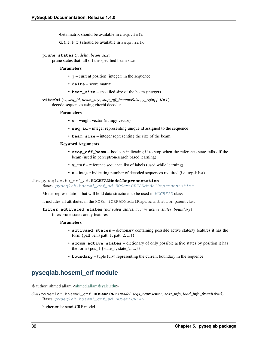•beta matrix should be available in seqs.info

•Z (i.e.  $P(x)$ ) should be available in seqs.info

#### **prune\_states**(*j*, *delta*, *beam\_size*)

prune states that fall off the specified beam size

#### Parameters

- **j** current position (integer) in the sequence
- **delta** score matrix
- **beam\_size** specified size of the beam (integer)

**viterbi**(*w*, *seq\_id*, *beam\_size*, *stop\_off\_beam=False*, *y\_ref=[]*, *K=1*) decode sequences using viterbi decoder

#### **Parameters**

- **w** weight vector (numpy vector)
- **seq\_id** integer representing unique id assigned to the sequence
- **beam\_size** integer representing the size of the beam

#### Keyword Arguments

- **stop off** beam boolean indicating if to stop when the reference state falls off the beam (used in perceptron/search based learning)
- **y\_ref** reference sequence list of labels (used while learning)
- **K** integer indicating number of decoded sequences required (i.e. top-k list)

<span id="page-35-1"></span>class pyseqlab.ho\_crf\_ad.**HOCRFADModelRepresentation**

Bases: [pyseqlab.hosemi\\_crf\\_ad.HOSemiCRFADModelRepresentation](#page-38-0)

Model representation that will hold data structures to be used in [HOCRFAD](#page-33-2) class

it includes all attributes in the HOSemiCRFADModelRepresentation parent class

### **filter\_activated\_states**(*activated\_states*, *accum\_active\_states*, *boundary*)

filter/prune states and y features

#### Parameters

- **activaed\_states** dictionary containing possible active states/y features it has the form {patt\_len:{patt\_1, patt\_2, ...}}
- **accum\_active\_states** dictionary of only possible active states by position it has the form  $\{pos_1:\{state_1, state_2, ...\} \}$
- **boundary** tuple (u,v) representing the current boundary in the sequence

# <span id="page-35-0"></span>**pyseqlab.hosemi\_crf module**

@author: ahmed allam [<ahmed.allam@yale.edu>](mailto:ahmed.allam@yale.edu)

class pyseqlab.hosemi\_crf.**HOSemiCRF**(*model*, *seqs\_representer*, *seqs\_info*, *load\_info\_fromdisk=5*) Bases: [pyseqlab.hosemi\\_crf\\_ad.HOSemiCRFAD](#page-36-1)

higher-order semi-CRF model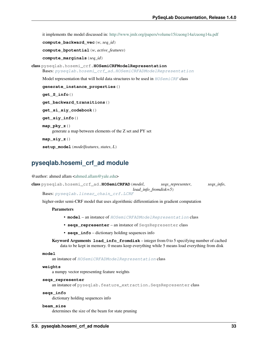it implements the model discussed in: <http://www.jmlr.org/papers/volume15/cuong14a/cuong14a.pdf>

```
compute_backward_vec(w, seq_id)
```
**compute\_bpotential**(*w*, *active\_features*)

**compute\_marginals**(*seq\_id*)

class pyseqlab.hosemi\_crf.**HOSemiCRFModelRepresentation**

Bases: [pyseqlab.hosemi\\_crf\\_ad.HOSemiCRFADModelRepresentation](#page-38-0)

Model representation that will hold data structures to be used in  $HOSemiCRF$  class

```
generate_instance_properties()
get_S_info()
get_backward_transitions()
get_si_siy_codebook()
get_siy_info()
map_pky_z()
    generate a map between elements of the Z set and PY set
map_siy_z()
```
**setup\_model**(*modelfeatures*, *states*, *L*)

# **pyseqlab.hosemi\_crf\_ad module**

@author: ahmed allam [<ahmed.allam@yale.edu>](mailto:ahmed.allam@yale.edu)

```
class pyseqlab.hosemi_crf_ad.HOSemiCRFAD(model, seqs_representer, seqs_info,
                                          load_info_fromdisk=5)
```
Bases: [pyseqlab.linear\\_chain\\_crf.LCRF](#page-40-0)

higher-order semi-CRF model that uses algorithmic differentiation in gradient computation

# Parameters

- **model** an instance of [HOSemiCRFADModelRepresentation](#page-38-0) class
- **seqs\_representer** an instance of SeqsRepresenter class
- **seqs\_info** dictionary holding sequences info

Keyword Arguments **load\_info\_fromdisk** – integer from 0 to 5 specifying number of cached data to be kept in memory. 0 means keep everything while 5 means load everything from disk

#### **model**

an instance of [HOSemiCRFADModelRepresentation](#page-38-0) class

# **weights**

a numpy vector representing feature weights

# **seqs\_representer**

an instance of pyseqlab.feature\_extraction.SeqsRepresenter class

# **seqs\_info**

dictionary holding sequences info

# **beam\_size**

determines the size of the beam for state pruning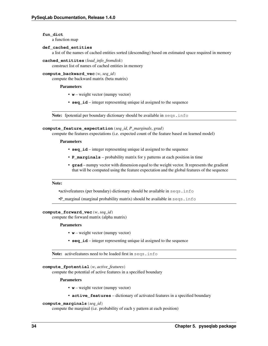**fun\_dict**

a function map

# **def\_cached\_entities**

a list of the names of cached entities sorted (descending) based on estimated space required in memory

```
cached_entitites(load_info_fromdisk)
```
construct list of names of cached entities in memory

# **compute\_backward\_vec**(*w*, *seq\_id*)

compute the backward matrix (beta matrix)

# Parameters

- **w** weight vector (numpy vector)
- **seq\_id** integer representing unique id assigned to the sequence

Note: fpotential per boundary dictionary should be available in seqs.info

# **compute\_feature\_expectation**(*seq\_id*, *P\_marginals*, *grad*)

compute the features expectations (i.e. expected count of the feature based on learned model)

# Parameters

- **seq\_id** integer representing unique id assigned to the sequence
- **P\_marginals** probability matrix for y patterns at each position in time
- **grad** numpy vector with dimension equal to the weight vector. It represents the gradient that will be computed using the feature expectation and the global features of the sequence

### Note:

•activefeatures (per boundary) dictionary should be available in seqs.info

•P\_marginal (marginal probability matrix) should be available in seqs.info

# **compute\_forward\_vec**(*w*, *seq\_id*)

compute the forward matrix (alpha matrix)

# Parameters

- **w** weight vector (numpy vector)
- **seq\_id** integer representing unique id assigned to the sequence

Note: active features need to be loaded first in seqs.info

#### **compute\_fpotential**(*w*, *active\_features*)

compute the potential of active features in a specified boundary

#### **Parameters**

- **w** weight vector (numpy vector)
- **active\_features** dictionary of activated features in a specified boundary

#### **compute\_marginals**(*seq\_id*)

compute the marginal (i.e. probability of each y pattern at each position)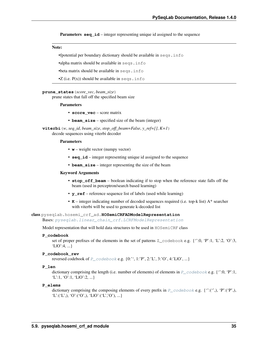**Parameters seq id** – integer representing unique id assigned to the sequence

#### Note:

•fpotential per boundary dictionary should be available in seqs.info

•alpha matrix should be available in seqs.info

•beta matrix should be available in seqs.info

 $\bullet$ Z (i.e.  $P(x)$ ) should be available in seqs.info

## **prune\_states**(*score\_vec*, *beam\_size*)

prune states that fall off the specified beam size

#### **Parameters**

- **score** vec score matrix
- **beam\_size** specified size of the beam (integer)

**viterbi**(*w*, *seq\_id*, *beam\_size*, *stop\_off\_beam=False*, *y\_ref=[]*, *K=1*) decode sequences using viterbi decoder

#### Parameters

- **w** weight vector (numpy vector)
- **seq\_id** integer representing unique id assigned to the sequence
- **beam\_size** integer representing the size of the beam

# Keyword Arguments

- **stop\_off\_beam** boolean indicating if to stop when the reference state falls off the beam (used in perceptron/search based learning)
- **y\_ref** reference sequence list of labels (used while learning)
- **K** integer indicating number of decoded sequences required (i.e. top-k list) A\* searcher with viterbi will be used to generate k-decoded list

#### <span id="page-38-0"></span>class pyseqlab.hosemi\_crf\_ad.**HOSemiCRFADModelRepresentation**

Bases: [pyseqlab.linear\\_chain\\_crf.LCRFModelRepresentation](#page-45-0)

<span id="page-38-1"></span>Model representation that will hold data structures to be used in HOSemiCRF class

# **P\_codebook**

set of proper prefixes of the elements in the set of patterns  $Z_{\text{codebook}}$  e.g. {'':0, 'P':1, 'L':2, 'O':3, 'L|O':4, ...}

#### **P\_codebook\_rev**

reversed codebook of  $P_{\text{modelbook}}$  e.g.  $\{0: \text{``}, 1: \text{'}P', 2: \text{'}L', 3: \text{'}O', 4: \text{'}L/O', ...\}$ 

# **P\_len**

dictionary comprising the length (i.e. number of elements) of elements in  $P_{\sim}$  codebook e.g. {":0, 'P':1, 'L':1, 'O':1, 'L $[0]'$ :2, ...}

#### **P\_elems**

dictionary comprising the composing elements of every prefix in  $P_{\_}code{codebook}$  e.g. {":(",), 'P':("P',),  $'L:(L',), 'O': ('O',), 'LIO': ('L', O'), ...$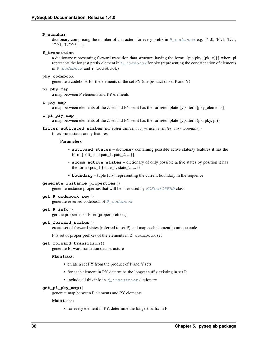# **P\_numchar**

dictionary comprising the number of characters for every prefix in  $P_{\sim}$  codebook e.g. {':0, 'P':1, 'L':1,  $'O':1, 'LIO':3, ...$ 

# <span id="page-39-0"></span>**f\_transition**

a dictionary representing forward transition data structure having the form: {pi:{pky, (pk, y)}} where pi represents the longest prefix element in [P\\_codebook](#page-38-1) for pky (representing the concatenation of elements in [P\\_codebook](#page-38-1) and Y\_codebook)

# **pky\_codebook**

generate a codebook for the elements of the set PY (the product of set P and Y)

# **pi\_pky\_map**

a map between P elements and PY elements

#### **z\_pky\_map**

a map between elements of the Z set and PY set it has the form/template {ypattern:[pky\_elements]}

# **z\_pi\_piy\_map**

a map between elements of the Z set and PY set it has the form/template {ypattern:(pk, pky, pi)}

# **filter\_activated\_states**(*activated\_states*, *accum\_active\_states*, *curr\_boundary*)

filter/prune states and y features

# Parameters

- **activaed\_states** dictionary containing possible active states/y features it has the form {patt\_len:{patt\_1, patt\_2, ...}}
- **accum\_active\_states** dictionary of only possible active states by position it has the form  $\{pos_1:\{state_1, state_2, ...\} \}$
- **boundary** tuple (u,v) representing the current boundary in the sequence

## **generate\_instance\_properties**()

generate instance properties that will be later used by [HOSemiCRFAD](#page-36-0) class

# **get\_P\_codebook\_rev**()

generate reversed codebook of [P\\_codebook](#page-38-1)

# **get\_P\_info**()

get the properties of P set (proper prefixes)

# **get\_forward\_states**()

create set of forward states (referred to set P) and map each element to unique code

P is set of proper prefixes of the elements in Z\_codebook set

#### **get\_forward\_transition**()

generate forward transition data structure

# Main tasks:

- create a set PY from the product of P and Y sets
- for each element in PY, determine the longest suffix existing in set P
- include all this info in  $f$ <sub> $t$ ransition</sub> dictionary

#### **get\_pi\_pky\_map**()

generate map between P elements and PY elements

#### Main tasks:

• for every element in PY, determine the longest suffix in P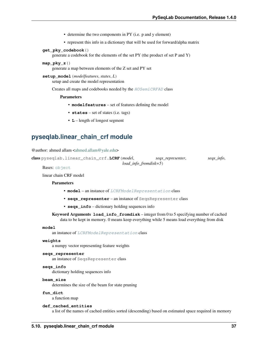- determine the two components in PY (i.e. p and y element)
- represent this info in a dictionary that will be used for forward/alpha matrix
- **get\_pky\_codebook**()

generate a codebook for the elements of the set PY (the product of set P and Y)

**map\_pky\_z**()

generate a map between elements of the Z set and PY set

**setup\_model**(*modelfeatures*, *states*, *L*) setup and create the model representation

Creates all maps and codebooks needed by the [HOSemiCRFAD](#page-36-0) class

#### **Parameters**

- **modelfeatures** set of features defining the model
- **states** set of states (i.e. tags)
- **L** length of longest segment

# **pyseqlab.linear\_chain\_crf module**

<span id="page-40-0"></span>@author: ahmed allam [<ahmed.allam@yale.edu>](mailto:ahmed.allam@yale.edu)

class pyseqlab.linear\_chain\_crf.**LCRF**(*model*, *seqs\_representer*, *seqs\_info*, *load\_info\_fromdisk=5*)

Bases: [object](https://docs.python.org/2/library/functions.html#object)

linear chain CRF model

#### **Parameters**

- **model** an instance of [LCRFModelRepresentation](#page-45-0) class
- **seqs\_representer** an instance of SeqsRepresenter class
- **seqs\_info** dictionary holding sequences info

Keyword Arguments **load\_info\_fromdisk** – integer from 0 to 5 specifying number of cached data to be kept in memory. 0 means keep everything while 5 means load everything from disk

## **model**

an instance of [LCRFModelRepresentation](#page-45-0) class

#### **weights**

a numpy vector representing feature weights

### **seqs\_representer**

an instance of SeqsRepresenter class

# <span id="page-40-1"></span>**seqs\_info**

dictionary holding sequences info

#### **beam\_size**

determines the size of the beam for state pruning

# **fun\_dict**

a function map

# **def\_cached\_entities**

a list of the names of cached entities sorted (descending) based on estimated space required in memory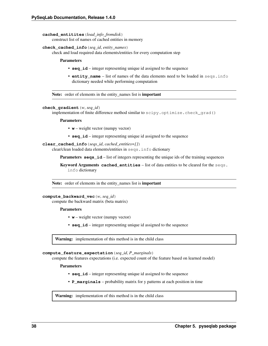#### **cached\_entitites**(*load\_info\_fromdisk*)

construct list of names of cached entities in memory

# **check\_cached\_info**(*seq\_id*, *entity\_names*)

check and load required data elements/entities for every computation step

Parameters

- **seq\_id** integer representing unique id assigned to the sequence
- **entity\_name** list of names of the data elements need to be loaded in seqs.info dictionary needed while performing computation

Note: order of elements in the entity\_names list is important

# **check\_gradient**(*w*, *seq\_id*)

implementation of finite difference method similar to scipy.optimize.check\_grad()

#### **Parameters**

- **w** weight vector (numpy vector)
- **seq\_id** integer representing unique id assigned to the sequence

**clear\_cached\_info**(*seqs\_id*, *cached\_entities=[]*)

clear/clean loaded data elements/entities in seqs.info dictionary

**Parameters seqs\_id** – list of integers representing the unique ids of the training sequences

Keyword Arguments **cached\_entities** – list of data entities to be cleared for the seqs. info dictionary

Note: order of elements in the entity\_names list is important

# **compute\_backward\_vec**(*w*, *seq\_id*)

compute the backward matrix (beta matrix)

Parameters

- **w** weight vector (numpy vector)
- **seq\_id** integer representing unique id assigned to the sequence

Warning: implementation of this method is in the child class

**compute\_feature\_expectation**(*seq\_id*, *P\_marginals*)

compute the features expectations (i.e. expected count of the feature based on learned model)

Parameters

- **seq\_id** integer representing unique id assigned to the sequence
- **P\_marginals** probability matrix for y patterns at each position in time

Warning: implementation of this method is in the child class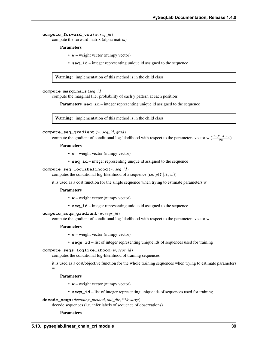**compute\_forward\_vec**(*w*, *seq\_id*) compute the forward matrix (alpha matrix)

Parameters

- **w** weight vector (numpy vector)
- **seq\_id** integer representing unique id assigned to the sequence

Warning: implementation of this method is in the child class

# **compute\_marginals**(*seq\_id*)

compute the marginal (i.e. probability of each y pattern at each position)

**Parameters seq\_id** – integer representing unique id assigned to the sequence

Warning: implementation of this method is in the child class

#### **compute\_seq\_gradient**(*w*, *seq\_id*, *grad*)

compute the gradient of conditional log-likelihood with respect to the parameters vector w  $\left(\frac{\partial p(Y|X;w)}{\partial w}\right)$ 

#### Parameters

- **w** weight vector (numpy vector)
- **seq\_id** integer representing unique id assigned to the sequence

#### **compute\_seq\_loglikelihood**(*w*, *seq\_id*)

computes the conditional log-likelihood of a sequence (i.e.  $p(Y|X; w)$ )

it is used as a cost function for the single sequence when trying to estimate parameters w

## Parameters

- **w** weight vector (numpy vector)
- **seq\_id** integer representing unique id assigned to the sequence

# **compute\_seqs\_gradient**(*w*, *seqs\_id*)

compute the gradient of conditional log-likelihood with respect to the parameters vector w

#### Parameters

- **w** weight vector (numpy vector)
- **seqs\_id** list of integer representing unique ids of sequences used for training

# **compute\_seqs\_loglikelihood**(*w*, *seqs\_id*)

computes the conditional log-likelihood of training sequences

it is used as a cost/objective function for the whole training sequences when trying to estimate parameters w

# Parameters

- **w** weight vector (numpy vector)
- **seqs\_id** list of integer representing unique ids of sequences used for training

# **decode\_seqs**(*decoding\_method*, *out\_dir*, *\*\*kwargs*)

decode sequences (i.e. infer labels of sequence of observations)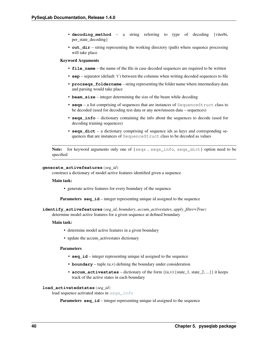- **decoding method** a string referring to type of decoding {viterbi, per\_state\_decoding}
- **out\_dir** string representing the working directory (path) where sequence processing will take place

# Keyword Arguments

- **file\_name** the name of the file in case decoded sequences are required to be written
- **sep** separator (default 't') between the columns when writing decoded sequences to file
- **procseqs\_foldername** string representing the folder name where intermediary data and parsing would take place
- **beam\_size** integer determining the size of the beam while decoding
- **seqs** a list comprising of sequences that are instances of SequenceStruct class to be decoded (used for decoding test data or any new/unseen data – sequences)
- **seqs\_info** dictionary containing the info about the sequences to decode (used for decoding training sequences)
- **seqs\_dict** a dictionary comprising of sequence ids as keys and corresponding sequences that are instances of SequenceStruct class to be decoded as values

Note: for keyword arguments only one of {seqs , seqs\_info, seqs\_dict} option need to be specified

#### **generate\_activefeatures**(*seq\_id*)

construct a dictionary of model active features identified given a sequence

#### Main task:

• generate active features for every boundary of the sequence

**Parameters seq\_id** – integer representing unique id assigned to the sequence

**identify\_activefeatures**(*seq\_id*, *boundary*, *accum\_activestates*, *apply\_filter=True*)

determine model active features for a given sequence at defined boundary

#### Main task:

- determine model active features in a given boundary
- update the accum\_activestates dictionary

## Parameters

- **seq\_id** integer representing unique id assigned to the sequence
- **boundary** tuple (u,v) defining the boundary under consideration
- **accum\_activestates** dictionary of the form  $\{(u,v): \{\text{state$\_1$, state$\_2$, ...\}\}\$ it keeps track of the active states in each boundary

# **load\_activatedstates**(*seq\_id*)

load sequence activated states in [seqs\\_info](#page-40-1)

**Parameters seq\_id** – integer representing unique id assigned to the sequence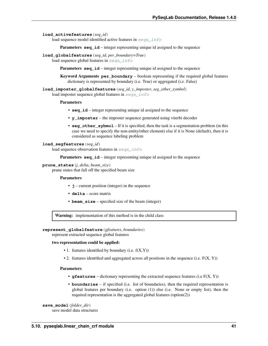# **load\_activefeatures**(*seq\_id*)

load sequence model identified active features in [seqs\\_info](#page-40-1)

**Parameters seq\_id** – integer representing unique id assigned to the sequence

#### **load\_globalfeatures**(*seq\_id*, *per\_boundary=True*)

load sequence global features in [seqs\\_info](#page-40-1)

**Parameters seq id** – integer representing unique id assigned to the sequence

Keyword Arguments **per\_boundary** – boolean representing if the required global features dictionary is represented by boundary (i.e. True) or aggregated (i.e. False)

**load\_imposter\_globalfeatures**(*seq\_id*, *y\_imposter*, *seg\_other\_symbol*) load imposter sequence global features in [seqs\\_info](#page-40-1)

### Parameters

- **seq\_id** integer representing unique id assigned to the sequence
- **y\_imposter** the imposter sequence generated using viterbi decoder
- **seq** other **sybmol** If it is specified, then the task is a segmentation problem (in this case we need to specify the non-entity/other element) else if it is None (default), then it is considered as sequence labeling problem

# **load\_segfeatures**(*seq\_id*)

load sequence observation features in [seqs\\_info](#page-40-1)

**Parameters seq\_id** – integer representing unique id assigned to the sequence

# **prune\_states**(*j*, *delta*, *beam\_size*)

prune states that fall off the specified beam size

# Parameters

- **j** current position (integer) in the sequence
- **delta** score matrix
- **beam\_size** specified size of the beam (integer)

Warning: implementation of this method is in the child class

**represent\_globalfeature**(*gfeatures*, *boundaries*)

represent extracted sequence global features

# two representation could be applied:

- 1. features identified by boundary (i.e.  $f(X,Y)$ )
- 2. features identified and aggregated across all positions in the sequence (i.e.  $F(X, Y)$ )

# Parameters

- **gfeatures** dictionary representing the extracted sequence features (i.e F(X, Y))
- **boundaries** if specified (i.e. list of boundaries), then the required representation is global features per boundary (i.e. option (1)) else (i.e. None or empty list), then the required representation is the aggregated global features (option(2))

#### **save\_model**(*folder\_dir*) save model data structures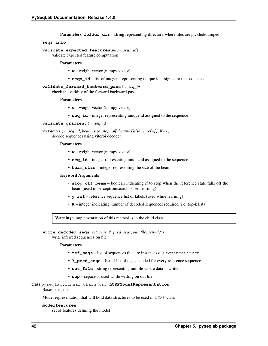**Parameters folder dir** – string representing directory where files are pickled/dumped

## **seqs\_info**

# **validate\_expected\_featuresum**(*w*, *seqs\_id*)

validate expected feature computation

# Parameters

- **w** weight vector (numpy vector)
- **seqs\_id** list of integers representing unique id assigned to the sequences

# **validate\_forward\_backward\_pass**(*w*, *seq\_id*)

check the validity of the forward backward pass

# Parameters

- **w** weight vector (numpy vector)
- **seq\_id** integer representing unique id assigned to the sequence

**validate\_gradient**(*w*, *seq\_id*)

**viterbi**(*w*, *seq\_id*, *beam\_size*, *stop\_off\_beam=False*, *y\_ref=[]*, *K=1*) decode sequences using viterbi decoder

# Parameters

- **w** weight vector (numpy vector)
- **seq\_id** integer representing unique id assigned to the sequence
- **beam\_size** integer representing the size of the beam

# Keyword Arguments

- **stop\_off\_beam** boolean indicating if to stop when the reference state falls off the beam (used in perceptron/search based learning)
- **y\_ref** reference sequence list of labels (used while learning)
- **K** integer indicating number of decoded sequences required (i.e. top-k list)

Warning: implementation of this method is in the child class

# **write\_decoded\_seqs**(*ref\_seqs*, *Y\_pred\_seqs*, *out\_file*, *sep='\t'*)

write inferred sequences on file

# Parameters

- **ref\_seqs** list of sequences that are instances of SequenceStruct
- **Y\_pred\_seqs** list of list of tags decoded for every reference sequence
- **out\_file** string representing out file where data is written
- **sep** separator used while writing on out file

# <span id="page-45-0"></span>class pyseqlab.linear\_chain\_crf.**LCRFModelRepresentation**

#### Bases: [object](https://docs.python.org/2/library/functions.html#object)

Model representation that will hold data structures to be used in [LCRF](#page-40-0) class

#### <span id="page-45-2"></span><span id="page-45-1"></span>**modelfeatures**

set of features defining the model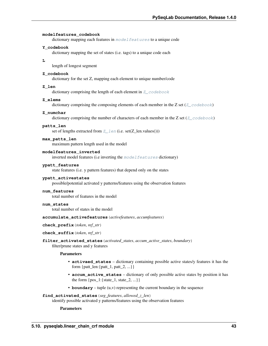#### **modelfeatures\_codebook**

dictionary mapping each features in [modelfeatures](#page-45-1) to a unique code

# **Y\_codebook**

dictionary mapping the set of states (i.e. tags) to a unique code each

**L**

length of longest segment

#### <span id="page-46-0"></span>**Z\_codebook**

dictionary for the set Z, mapping each element to unique number/code

# <span id="page-46-1"></span>**Z\_len**

dictionary comprising the length of each element in  $Z$  codebook

# **Z\_elems**

dictionary comprising the composing elements of each member in the Z set ( $Z_{\text{codebook}}$ )

#### **Z\_numchar**

dictionary comprising the number of characters of each member in the Z set ( $Z_{\text{codebook}}$ )

#### **patts\_len**

set of lengths extracted from  $Z_l$  en (i.e. set([Z\\_len](#page-46-1).values()))

# **max\_patts\_len**

maximum pattern length used in the model

#### **modelfeatures\_inverted**

inverted model features (i.e inverting the  $modelfeatures$  dictionary)

#### **ypatt\_features**

state features (i.e. y pattern features) that depend only on the states

#### **ypatt\_activestates**

possible/potential activated y patterns/features using the observation features

# **num\_features**

total number of features in the model

#### **num\_states**

total number of states in the model

#### **accumulate\_activefeatures**(*activefeatures*, *accumfeatures*)

**check\_prefix**(*token*, *ref\_str*)

## **check\_suffix**(*token*, *ref\_str*)

**filter\_activated\_states**(*activated\_states*, *accum\_active\_states*, *boundary*) filter/prune states and y features

#### Parameters

- **activaed\_states** dictionary containing possible active states/y features it has the form {patt\_len:{patt\_1, patt\_2, ...}}
- **accum\_active\_states** dictionary of only possible active states by position it has the form  $\{pos_1:\{state_1, state_2, ...\}\}\$
- **boundary** tuple (u,v) representing the current boundary in the sequence

# **find\_activated\_states**(*seg\_features*, *allowed\_z\_len*)

identify possible activated y patterns/features using the observation features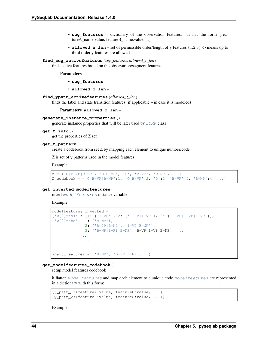- **seg features** dictionary of the observation features. It has the form {featureA\_name:value, featureB\_name:value, ...}
- **allowed\_z\_len** set of permissible order/length of y features {1,2,3} -> means up to third order y features are allowed

#### **find\_seg\_activefeatures**(*seg\_features*, *allowed\_z\_len*)

finds active features based on the observation/segment features

#### Parameters

- **seg\_features** –
- **allowed\_z\_len** –

#### **find\_ypatt\_activefeatures**(*allowed\_z\_len*)

finds the label and state transition features (if applicable – in case it is modeled)

Parameters **allowed\_z\_len** –

#### **generate\_instance\_properties**()

generate instance properties that will be later used by [LCRF](#page-40-0) class

#### **get\_Z\_info**()

get the properties of Z set

# **get\_Z\_pattern**()

create a codebook from set Z by mapping each element to unique number/code

Z is set of y patterns used in the model features

Example:

```
Z = \{ '0|B-VP|B-NP', '0|B-VP', '0', 'B-VP', 'B-NP', ... \}Z\_codebook = \{ 'O||B-VP||B-NP':1, 'O||B-VP':2, 'O':3, 'B-VP':5, 'B-NP':4, ... \}
```
## **get\_inverted\_modelfeatures**()

invert [modelfeatures](#page-45-1) instance variable

Example:

```
modelfeatures inverted =
{'w[0]=take': {1: {'I-VP'}, 2: {'I-VP|I-VP'}, 3: {'I-VP|I-VP|I-VP'}},
 'w[0]=the': {1: {'B-NP'},
              2: {'B-PP|B-NP', 'I-VP|B-NP'},
             3: {'B-NP|B-PP|B-NP', B-VP|I-VP|B-NP', ...}
             },
             ...
}
ypatt_features = {'B-NP', 'B-PP|B-NP', ..}
```
#### **get\_modelfeatures\_codebook**()

setup model features codebook

it flatten [modelfeatures](#page-45-1) and map each element to a unique code modelfeatures are represented in a dictionary with this form:

```
{y_patt_1:{featureA:value, featureB:value, ...}
y_patt_2:{featureA:value, featureC:value, ...}}
```
Example: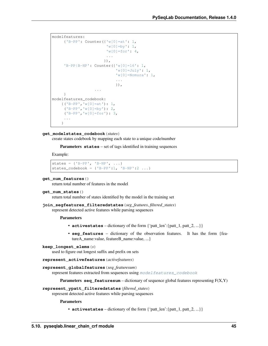```
modelfeatures:
     {'B-PP': Counter({'w[0]=at': 1,
                        'w[0]=by': 1,'w[0]=for': 4,...
                       }),
     'B-PP|B-NP': Counter({'w[0]=16': 1,
                             'w[0] = July' : 1,'w[0] = Nomura': 1,
                             ...
                            }),
                   ...
     }
modelfeatures_codebook:
   {('B-PP','w[0]=at'): 1,
     (VB-PP', 'w[0]=by'); 2,('B-PP','w[0]=for'): 3,
     ...
    }
```
#### **get\_modelstates\_codebook**(*states*)

create states codebook by mapping each state to a unique code/number

Parameters states – set of tags identified in training sequences

Example:

```
states = \{ 'B-PP', 'B-NP', ... \}states_codebook = {'B-PP':1, 'B-NP':2 ...}
```

```
get_num_features()
```
return total number of features in the model

```
get_num_states()
```
return total number of states identified by the model in the training set

```
join_segfeatures_filteredstates(seg_features, filtered_states)
```
represent detected active features while parsing sequences

**Parameters** 

- **activestates** dictionary of the form {'patt\_len':{patt\_1, patt\_2, ...}}
- **seg features** dictionary of the observation features. It has the form {featureA\_name:value, featureB\_name:value, ...}

```
keep_longest_elems(s)
```
used to figure out longest suffix and prefix on sets

```
represent_activefeatures(activefeatures)
```

```
represent_globalfeatures(seq_featuresum)
```
represent features extracted from sequences using [modelfeatures\\_codebook](#page-45-2)

**Parameters seq\_featuresum** – dictionary of sequence global features representing  $F(X,Y)$ 

#### **represent\_ypatt\_filteredstates**(*filtered\_states*)

represent detected active features while parsing sequences

**Parameters** 

• **activestates** – dictionary of the form {'patt\_len':{patt\_1, patt\_2, ...}}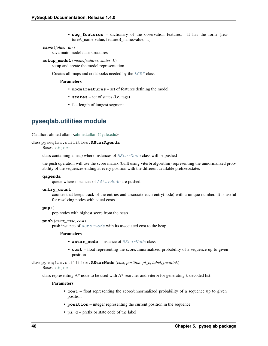• **seg features** – dictionary of the observation features. It has the form {featureA\_name:value, featureB\_name:value, ...}

# **save**(*folder\_dir*)

save main model data structures

**setup\_model**(*modelfeatures*, *states*, *L*) setup and create the model representation

Creates all maps and codebooks needed by the [LCRF](#page-40-0) class

# Parameters

- **modelfeatures** set of features defining the model
- **states** set of states (i.e. tags)
- **L** length of longest segment

# **pyseqlab.utilities module**

@author: ahmed allam [<ahmed.allam@yale.edu>](mailto:ahmed.allam@yale.edu)

# class pyseqlab.utilities.**AStarAgenda**

Bases: [object](https://docs.python.org/2/library/functions.html#object)

class containing a heap where instances of [AStarNode](#page-49-0) class will be pushed

the push operation will use the score matrix (built using viterbi algorithm) representing the unnormalized probability of the sequences ending at every position with the different available prefixes/states

#### **qagenda**

queue where instances of [AStarNode](#page-49-0) are pushed

# **entry\_count**

counter that keeps track of the entries and associate each entry(node) with a unique number. It is useful for resolving nodes with equal costs

# **pop**()

pop nodes with highest score from the heap

#### **push**(*astar\_node*, *cost*)

push instance of [AStarNode](#page-49-0) with its associated cost to the heap

#### Parameters

- **astar\_node** instance of [AStarNode](#page-49-0) class
- **cost** float representing the score/unnormalized probability of a sequence up to given position

<span id="page-49-0"></span>class pyseqlab.utilities.**AStarNode**(*cost*, *position*, *pi\_c*, *label*, *frwdlink*)

Bases: [object](https://docs.python.org/2/library/functions.html#object)

class representing  $A^*$  node to be used with  $A^*$  searcher and viterbi for generating k-decoded list

- **cost** float representing the score/unnormalized probability of a sequence up to given position
- **position** integer representing the current position in the sequence
- **pi\_c** prefix or state code of the label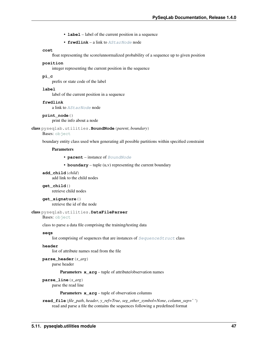- **label** label of the current position in a sequence
- **frwdlink** a link to [AStarNode](#page-49-0) node

# **cost**

float representing the score/unnormalized probability of a sequence up to given position

#### **position**

integer representing the current position in the sequence

# **pi\_c**

prefix or state code of the label

# **label**

label of the current position in a sequence

#### **frwdlink**

a link to [AStarNode](#page-49-0) node

**print\_node**()

print the info about a node

<span id="page-50-0"></span>class pyseqlab.utilities.**BoundNode**(*parent*, *boundary*)

#### Bases: [object](https://docs.python.org/2/library/functions.html#object)

boundary entity class used when generating all possible partitions within specified constraint

## **Parameters**

- **parent** instance of [BoundNode](#page-50-0)
- **boundary** tuple (u,v) representing the current boundary

**add\_child**(*child*) add link to the child nodes

**get\_child**() retrieve child nodes

**get\_signature**() retrieve the id of the node

#### class pyseqlab.utilities.**DataFileParser**

Bases: [object](https://docs.python.org/2/library/functions.html#object)

class to parse a data file comprising the training/testing data

## **seqs**

list comprising of sequences that are instances of [SequenceStruct](#page-54-0) class

# **header**

list of attribute names read from the file

**parse\_header**(*x\_arg*)

parse header

# Parameters  $x_{\text{arg}} -$  tuple of attribute/observation names

#### **parse\_line**(*x\_arg*)

parse the read line

Parameters **x\_arg** – tuple of observation columns

**read\_file**(*file\_path*, *header*, *y\_ref=True*, *seg\_other\_symbol=None*, *column\_sep=' '*) read and parse a file the contains the sequences following a predefined format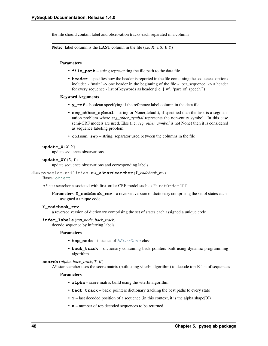the file should contain label and observation tracks each separated in a column

Note: label column is the LAST column in the file (i.e.  $X$  a  $X$  b Y)

#### Parameters

- **file\_path** string representing the file path to the data file
- **header** specifies how the header is reported in the file containing the sequences options include: - 'main' -> one header in the beginning of the file - 'per\_sequence' -> a header for every sequence - list of keywords as header (i.e. ['w', 'part\_of\_speech'])

# Keyword Arguments

- **y\_ref** boolean specifying if the reference label column in the data file
- **seg\_other\_sybmol** string or None(default), if specified then the task is a segmentation problem where *seg\_other\_symbol* represents the non-entity symbol. In this case semi-CRF models are used. Else (i.e. *seg\_other\_symbol* is not None) then it is considered as sequence labeling problem.
- **column\_sep** string, separator used between the columns in the file

# $update_X(X, Y)$

update sequence observations

#### **update XY** $(X, Y)$

update sequence observations and corresponding labels

# class pyseqlab.utilities.**FO\_AStarSearcher**(*Y\_codebook\_rev*)

# Bases: [object](https://docs.python.org/2/library/functions.html#object)

A\* star searcher associated with first-order CRF model such as FirstOrderCRF

**Parameters Y\_codebook\_rev** – a reversed version of dictionary comprising the set of states each assigned a unique code

# **Y\_codebook\_rev**

a reversed version of dictionary comprising the set of states each assigned a unique code

#### **infer\_labels**(*top\_node*, *back\_track*)

decode sequence by inferring labels

## Parameters

- **top\_node** instance of [AStarNode](#page-49-0) class
- **back\_track** dictionary containing back pointers built using dynamic programming algorithm

# **search**(*alpha*, *back\_track*, *T*, *K*)

A\* star searcher uses the score matrix (built using viterbi algorithm) to decode top-K list of sequences

- **alpha** score matrix build using the viterbi algorithm
- **back\_track** back\_pointers dictionary tracking the best paths to every state
- **T** last decoded position of a sequence (in this context, it is the alpha.shape[0])
- **K** number of top decoded sequences to be returned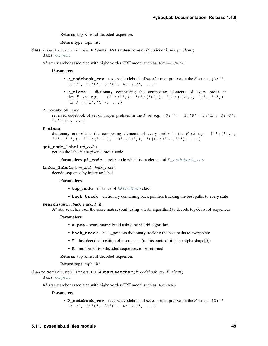Returns top-K list of decoded sequences

Return type topk\_list

class pyseqlab.utilities.**HOSemi\_AStarSearcher**(*P\_codebook\_rev*, *pi\_elems*) Bases: [object](https://docs.python.org/2/library/functions.html#object)

A\* star searcher associated with higher-order CRF model such as HOSemiCRFAD

#### **Parameters**

- **P\_codebook\_rev** reversed codebook of set of proper prefixes in the *P* set e.g. {0:'',  $1: 'P', 2: 'L', 3: 'O', 4: 'L/O', ...$
- **P\_elems** dictionary comprising the composing elements of every prefix in the *P* set e.g. {'':('',), 'P':('P',), 'L':('L',), 'O':('O',), 'L|O':('L','O'), ...}

#### <span id="page-52-0"></span>**P\_codebook\_rev**

reversed codebook of set of proper prefixes in the *P* set e.g. {0:'', 1:'P', 2:'L', 3:'O',  $4: L[0', \ldots]$ 

#### **P\_elems**

dictionary comprising the composing elements of every prefix in the *P* set e.g.  $\{T::(T',),\}$  $'P': ('P',), 'L': ('L',), 'O': ('O',), 'L|O': ('L', 'O'), ...$ 

# **get\_node\_label**(*pi\_code*)

get the the label/state given a prefix code

**Parameters**  $pi\_code$  **– prefix code which is an element of**  $P\_codebook\_rev$ 

# **infer\_labels**(*top\_node*, *back\_track*)

decode sequence by inferring labels

#### Parameters

- **top\_node** instance of [AStarNode](#page-49-0) class
- **back** track dictionary containing back pointers tracking the best paths to every state

# $\textbf{search}(alpha, back\ track, T, K)$

A\* star searcher uses the score matrix (built using viterbi algorithm) to decode top-K list of sequences

# Parameters

- **alpha** score matrix build using the viterbi algorithm
- **back\_track** back\_pointers dictionary tracking the best paths to every state
- **T** last decoded position of a sequence (in this context, it is the alpha.shape[0])
- **K** number of top decoded sequences to be returned

Returns top-K list of decoded sequences

#### Return type topk\_list

```
class pyseqlab.utilities.HO_AStarSearcher(P_codebook_rev, P_elems)
    object
```
A\* star searcher associated with higher-order CRF model such as HOCRFAD

# **Parameters**

• **P\_codebook\_rev** – reversed codebook of set of proper prefixes in the *P* set e.g. {0:'', 1:'P', 2:'L', 3:'O', 4:'L|O', ...}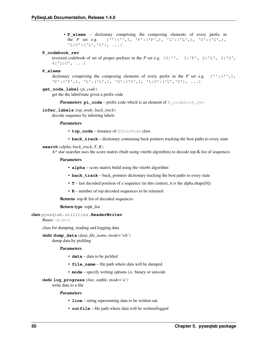• **P\_elems** – dictionary comprising the composing elements of every prefix in the *P* set e.g. {'':('',), 'P':('P',), 'L':('L',), 'O':('O',),  $'L|0':('L', '0')$ , ...}

# <span id="page-53-0"></span>**P\_codebook\_rev**

reversed codebook of set of proper prefixes in the *P* set e.g.  $\{0: "', 1: "P', 2: "L", 3: "O",$  $4: 'L|0', ...$ 

### **P\_elems**

dictionary comprising the composing elements of every prefix in the *P* set e.g.  $\{T::(T,\)$ , 'P':('P',), 'L':('L',), 'O':('O',), 'L|O':('L','O'), ...}

#### **get\_node\_label**(*pi\_code*)

get the the label/state given a prefix code

**Parameters**  $pi\_code$  **– prefix code which is an element of**  $P\_codebook\_rev$ 

# **infer\_labels**(*top\_node*, *back\_track*)

decode sequence by inferring labels

# Parameters

- **top\_node** instance of [AStarNode](#page-49-0) class
- **back\_track** dictionary containing back pointers tracking the best paths to every state

# **search**(*alpha*, *back\_track*, *T*, *K*)

A\* star searcher uses the score matrix (built using viterbi algorithm) to decode top-K list of sequences

# Parameters

- **alpha** score matrix build using the viterbi algorithm
- **back\_track** back\_pointers dictionary tracking the best paths to every state
- **T** last decoded position of a sequence (in this context, it is the alpha.shape[0])
- **K** number of top decoded sequences to be returned

Returns top-K list of decoded sequences

# Return type topk\_list

class pyseqlab.utilities.**ReaderWriter** Bases: [object](https://docs.python.org/2/library/functions.html#object)

class for dumping, reading and logging data

static **dump\_data**(*data*, *file\_name*, *mode='wb'*) dump data by pickling

Parameters

- **data** data to be pickled
- **file\_name** file path where data will be dumped
- **mode** specify writing options i.e. binary or unicode

#### static **log\_progress**(*line*, *outfile*, *mode='a'*)

write data to a file

- **line** string representing data to be written out
- **outfile** file path where data will be written/logged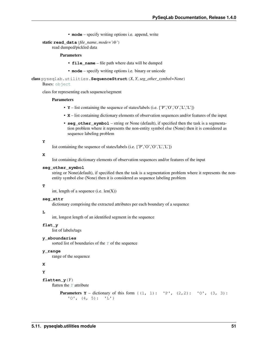• **mode** – specify writing options i.e. append, write

static **read\_data**(*file\_name*, *mode='rb'*)

read dumped/pickled data

# Parameters

- **file** name file path where data will be dumped
- **mode** specify writing options i.e. binary or unicode

<span id="page-54-0"></span>class pyseqlab.utilities.**SequenceStruct**(*X*, *Y*, *seg\_other\_symbol=None*)

# Bases: [object](https://docs.python.org/2/library/functions.html#object)

class for representing each sequence/segment

#### Parameters

- $Y$  list containing the sequence of states/labels (i.e.  $[ 'P', 'O', 'O', 'L', 'L' ] )$
- **X** list containing dictionary elements of observation sequences and/or features of the input
- **seg\_other\_symbol** string or None (default), if specified then the task is a segmentation problem where it represents the non-entity symbol else (None) then it is considered as sequence labeling problem

#### <span id="page-54-1"></span>**Y**

list containing the sequence of states/labels (i.e. ['P','O','O','L','L'])

#### **X**

list containing dictionary elements of observation sequences and/or features of the input

## **seg\_other\_symbol**

string or None(default), if specified then the task is a segmentation problem where it represents the nonentity symbol else (None) then it is considered as sequence labeling problem

#### **T**

int, length of a sequence (i.e.  $len(X)$ )

# **seg\_attr**

dictionary comprising the extracted attributes per each boundary of a sequence

# **L**

int, longest length of an identified segment in the sequence

#### **flat\_y**

list of labels/tags

# **y\_sboundaries**

sorted list of boundaries of the  $Y$  of the sequence

# **y\_range**

range of the sequence

# **X**

**Y**

#### **flatten**  $y(Y)$

flatten the *[Y](#page-54-1)* attribute

```
Parameters <b>Y – dictionary of this form \{(1, 1): 'P', (2, 2): 'O', (3, 3):'0', (4, 5): 'L'
```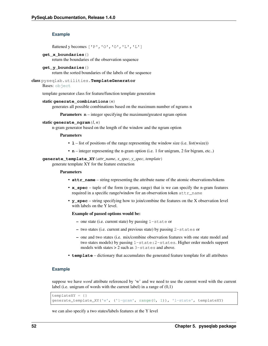# **Example**

flattened y becomes ['P','O','O','L','L']

#### **get\_x\_boundaries**()

return the boundaries of the observation sequence

#### **get\_y\_boundaries**()

return the sorted boundaries of the labels of the sequence

# class pyseqlab.utilities.**TemplateGenerator**

Bases: [object](https://docs.python.org/2/library/functions.html#object)

template generator class for feature/function template generation

#### static **generate\_combinations**(*n*)

generates all possible combinations based on the maximum number of ngrams n

**Parameters**  $n$  – integer specifying the maximum/greatest ngram option

# static **generate\_ngram**(*l*, *n*)

n-gram generator based on the length of the window and the ngram option

#### **Parameters**

- **1** list of positions of the range representing the window size (i.e. list(wsize))
- **n** integer representing the n-gram option (i.e. 1 for unigram, 2 for bigram, etc..)

# **generate\_template\_XY**(*attr\_name*, *x\_spec*, *y\_spec*, *template*)

generate template XY for the feature extraction

#### Parameters

- **attr** name string representing the attribute name of the atomic observations/tokens
- **x\_spec** tuple of the form (n-gram, range) that is we can specify the n-gram features required in a specific range/window for an observation token attr\_name
- **y\_spec** string specifying how to join/combine the features on the X observation level with labels on the Y level.

#### Example of passed options would be:

- one state (i.e. current state) by passing 1-state or
- two states (i.e. current and previous state) by passing 2-states or
- one and two states (i.e. mix/combine observation features with one state model and two states models) by passing 1-state:2-states. Higher order models support models with states > 2 such as 3-states and above.
- **template** dictionary that accumulates the generated feature template for all attributes

# **Example**

suppose we have *word* attribute referenced by 'w' and we need to use the current word with the current label (i.e. unigram of words with the current label) in a range of  $(0,1)$ 

```
templateXY = { }generate_template_XY('w', ('1-gram', range(0, 1)), '1-state', templateXY)
```
we can also specify a two states/labels features at the Y level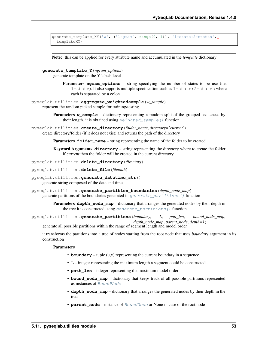```
generate_template_XY('w', ('1-gram', range(0, 1)), '1-state:2-states',
˓→templateXY)
```
Note: this can be applied for every attribute name and accumulated in the *template* dictionary

**generate\_template\_Y**(*ngram\_options*) generate template on the Y labels level

> Parameters **ngram\_options** – string specifying the number of states to be use (i.e. 1-state). It also supports multiple specification such as 1-state:2-states where each is separated by a colon

pyseqlab.utilities.**aggregate\_weightedsample**(*w\_sample*) represent the random picked sample for training/testing

> Parameters **w\_sample** – dictionary representing a random split of the grouped sequences by their length. it is obtained using [weighted\\_sample\(\)](#page-58-0) function

pyseqlab.utilities.**create\_directory**(*folder\_name*, *directory='current'*) create directory/folder (if it does not exist) and returns the path of the directory

**Parameters folder name** – string representing the name of the folder to be created

Keyword Arguments **directory** – string representing the directory where to create the folder if *current* then the folder will be created in the current directory

pyseqlab.utilities.**delete\_directory**(*directory*)

pyseqlab.utilities.**delete\_file**(*filepath*)

pyseqlab.utilities.**generate\_datetime\_str**()

generate string composed of the date and time

pyseqlab.utilities.**generate\_partition\_boundaries**(*depth\_node\_map*) generate partitions of the boundaries generated in [generate\\_partitions\(\)](#page-56-0) function

> Parameters **depth\_node\_map** – dictionary that arranges the generated nodes by their depth in the tree it is constructed using [generate\\_partitions\(\)](#page-56-0) function

<span id="page-56-0"></span>pyseqlab.utilities.**generate\_partitions**(*boundary*, *L*, *patt\_len*, *bound\_node\_map*, *depth\_node\_map*, *parent\_node*, *depth=1*)

generate all possible partitions within the range of segment length and model order

it transforms the partitions into a tree of nodes starting from the root node that uses *boundary* argument in its construction

- **boundary** tuple (u,v) representing the current boundary in a sequence
- **L** integer representing the maximum length a segment could be constructed
- **patt\_len** integer representing the maximum model order
- **bound\_node\_map** dictionary that keeps track of all possible partitions represented as instances of [BoundNode](#page-50-0)
- **depth** node map dictionary that arranges the generated nodes by their depth in the tree
- **parent\_node** instance of [BoundNode](#page-50-0) or None in case of the root node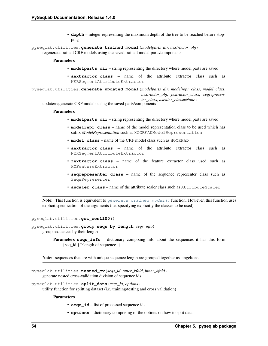• **depth** – integer representing the maximum depth of the tree to be reached before stopping

<span id="page-57-0"></span>pyseqlab.utilities.**generate\_trained\_model**(*modelparts\_dir*, *aextractor\_obj*) regenerate trained CRF models using the saved trained model parts/components

### Parameters

- **modelparts\_dir** string representing the directory where model parts are saved
- **aextractor\_class** name of the attribute extractor class such as NERSegmentAttributeExtractor

pyseqlab.utilities.**generate\_updated\_model**(*modelparts\_dir*, *modelrepr\_class*, *model\_class*, *aextractor\_obj*, *fextractor\_class*, *seqrepresenter\_class*, *ascaler\_class=None*)

update/regenerate CRF models using the saved parts/components

#### Parameters

- **modelparts\_dir** string representing the directory where model parts are saved
- **modelrepr\_class** name of the model representation class to be used which has suffix *ModelRepresentation* such as HOCRFADModelRepresentation
- **model\_class** name of the CRF model class such as HOCRFAD
- **aextractor\_class** name of the attribute extractor class such as NERSegmentAttributeExtractor
- **fextractor\_class** name of the feature extractor class used such as HOFeatureExtractor
- **seqrepresenter\_class** name of the sequence representer class such as SeqsRepresenter
- **ascaler\_class** name of the attribute scaler class such as AttributeScaler

**Note:** This function is equivalent to generate trained model () function. However, this function uses explicit specification of the arguments (i.e. specifying explicitly the classes to be used)

<span id="page-57-1"></span>pyseqlab.utilities.**get\_conll00**()

pyseqlab.utilities.**group\_seqs\_by\_length**(*seqs\_info*) group sequences by their length

> **Parameters seqs\_info** – dictionary comprising info about the sequences it has this form {seq\_id:{T:length of sequence}}

Note: sequences that are with unique sequence length are grouped together as singeltons

pyseqlab.utilities.**nested\_cv**(*seqs\_id*, *outer\_kfold*, *inner\_kfold*) generate nested cross-validation division of sequence ids

pyseqlab.utilities.**split\_data**(*seqs\_id*, *options*)

utility function for splitting dataset (i.e. training/testing and cross validation)

- **seqs\_id** list of processed sequence ids
- **options** dictionary comprising of the options on how to split data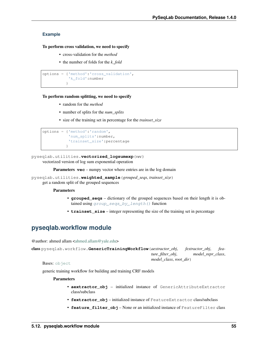# **Example**

# To perform cross validation, we need to specify

- cross-validation for the *method*
- the number of folds for the *k\_fold*

```
options = {'method':'cross_validation',
           'k_fold':number
          }
```
# To perform random splitting, we need to specify

- random for the *method*
- number of splits for the *num\_splits*
- size of the training set in percentage for the *trainset\_size*

```
options = {'method':'random',
           'num_splits':number,
           'trainset_size':percentage
          }
```
# pyseqlab.utilities.**vectorized\_logsumexp**(*vec*)

vectorized version of log sum exponential operation

**Parameters vec** – numpy vector where entries are in the log domain

<span id="page-58-0"></span>pyseqlab.utilities.**weighted\_sample**(*grouped\_seqs*, *trainset\_size*)

get a random split of the grouped sequences

# Parameters

- **grouped\_seqs** dictionary of the grouped sequences based on their length it is obtained using [group\\_seqs\\_by\\_length\(\)](#page-57-1) function
- **trainset\_size** integer representing the size of the training set in percentage

# **pyseqlab.workflow module**

@author: ahmed allam [<ahmed.allam@yale.edu>](mailto:ahmed.allam@yale.edu)

```
class pyseqlab.workflow.GenericTrainingWorkflow(aextractor_obj, fextractor_obj, fea-
                                                      ture_filter_obj, model_repr_class,
                                                      model_class, root_dir)
```
Bases: [object](https://docs.python.org/2/library/functions.html#object)

generic training workflow for building and training CRF models

- **aextractor\_obj** initialized instance of GenericAttributeExtractor class/subclass
- **fextractor**  $obj$  initialized instance of FeatureExtractor class/subclass
- **feature\_filter\_obj** None or an initialized instance of FeatureFilter class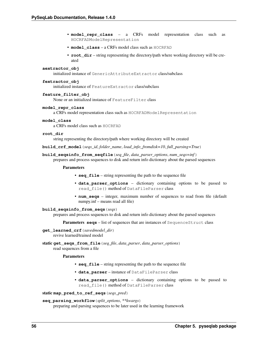- **model repr class** a CRFs model representation class such as HOCRFADModelRepresentation
- **model\_class** a CRFs model class such as HOCRFAD
- **root\_dir** string representing the directory/path where working directory will be created

#### **aextractor\_obj**

initialized instance of GenericAttributeExtractor class/subclass

## **fextractor\_obj**

initialized instance of FeatureExtractor class/subclass

#### **feature\_filter\_obj**

None or an initialized instance of FeatureFilter class

# **model\_repr\_class**

a CRFs model representation class such as HOCRFADModelRepresentation

#### **model\_class**

a CRFs model class such as HOCRFAD

#### **root\_dir**

string representing the directory/path where working directory will be created

**build\_crf\_model**(*seqs\_id*, *folder\_name*, *load\_info\_fromdisk=10*, *full\_parsing=True*)

**build\_seqsinfo\_from\_seqfile**(*seq\_file*, *data\_parser\_options*, *num\_seqs=inf*)

prepares and process sequences to disk and return info dictionary about the parsed sequences

#### Parameters

- **seq\_file** string representing the path to the sequence file
- **data\_parser\_options** dictionary containing options to be passed to read\_file() method of DataFileParser class
- **num\_seqs** integer, maximum number of sequences to read from file (default numpy.inf – means read all file)

# **build\_seqsinfo\_from\_seqs**(*seqs*)

prepares and process sequences to disk and return info dictionary about the parsed sequences

**Parameters seqs** – list of sequences that are instances of SequenceStruct class

- **get\_learned\_crf**(*savedmodel\_dir*) revive learned/trained model
- static **get\_seqs\_from\_file**(*seq\_file*, *data\_parser*, *data\_parser\_options*) read sequences from a file

#### **Parameters**

- **seq\_file** string representing the path to the sequence file
- **data\_parser** instance of DataFileParser class
- **data\_parser\_options** dictionary containing options to be passed to read\_file() method of DataFileParser class

# static **map\_pred\_to\_ref\_seqs**(*seqs\_pred*)

#### **seq\_parsing\_workflow**(*split\_options*, *\*\*kwargs*)

preparing and parsing sequences to be later used in the learning framework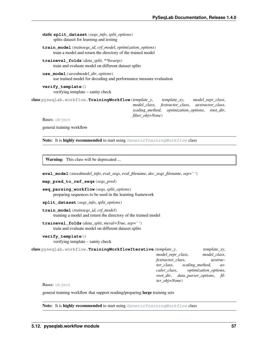static **split\_dataset**(*seqs\_info*, *split\_options*) splits dataset for learning and testing

**train\_model**(*trainseqs\_id*, *crf\_model*, *optimization\_options*) train a model and return the directory of the trained model

**traineval\_folds**(*data\_split*, *\*\*kwargs*) train and evaluate model on different dataset splits

**use\_model**(*savedmodel\_dir*, *options*) use trained model for decoding and performance measure evaluation

**verify\_template**() verifying template – sanity check

class pyseqlab.workflow.**TrainingWorkflow**(*template\_y*, *template\_xy*, *model\_repr\_class*, *model\_class*, *fextractor\_class*, *aextractor\_class*, *scaling\_method*, *optimization\_options*, *root\_dir*, *filter\_obj=None*)

Bases: [object](https://docs.python.org/2/library/functions.html#object)

general training workflow

**Note:** It is highly recommended to start using  $Generator_{\text{trainingWorkflow}}$  class

Warning: This class will be deprecated ...

**eval\_model**(*savedmodel\_info*, *eval\_seqs*, *eval\_filename*, *dec\_seqs\_filename*, *sep=' '*)

**map\_pred\_to\_ref\_seqs**(*seqs\_pred*)

**seq\_parsing\_workflow**(*seqs*, *split\_options*) preparing sequences to be used in the learning framework

**split\_dataset**(*seqs\_info*, *split\_options*)

**train\_model**(*trainseqs\_id*, *crf\_model*) training a model and return the directory of the trained model

**traineval\_folds**(*data\_split*, *meval=True*, *sep=' '*) train and evaluate model on different dataset splits

**verify\_template**()

verifying template – sanity check

class pyseqlab.workflow.**TrainingWorkflowIterative**(*template\_y*, *template\_xy*, *model\_repr\_class*, *model\_class*, *fextractor\_class*, *aextractor\_class*, *scaling\_method*, *ascaler\_class*, *optimization\_options*, *root\_dir*, *data\_parser\_options*, *filter\_obj=None*)

Bases: [object](https://docs.python.org/2/library/functions.html#object)

general training workflow that support reading/preparing large training sets

Note: It is highly recommended to start using [GenericTrainingWorkflow](#page-58-1) class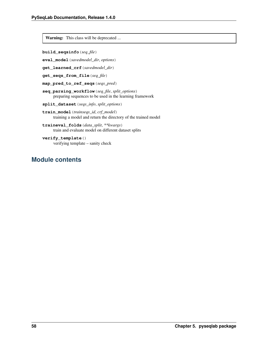Warning: This class will be deprecated ...

```
build_seqsinfo(seq_file)
```
**eval\_model**(*savedmodel\_dir*, *options*)

**get\_learned\_crf**(*savedmodel\_dir*)

```
get_seqs_from_file(seq_file)
```
**map\_pred\_to\_ref\_seqs**(*seqs\_pred*)

**seq\_parsing\_workflow**(*seq\_file*, *split\_options*) preparing sequences to be used in the learning framework

**split\_dataset**(*seqs\_info*, *split\_options*)

- **train\_model**(*trainseqs\_id*, *crf\_model*) training a model and return the directory of the trained model
- **traineval\_folds**(*data\_split*, *\*\*kwargs*) train and evaluate model on different dataset splits

**verify\_template**() verifying template – sanity check

# **Module contents**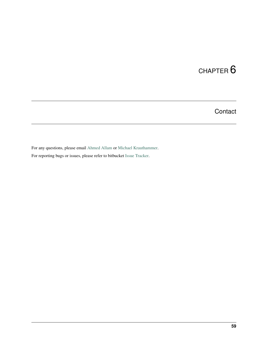**Contact** 

For any questions, please email [Ahmed Allam](mailto:ahmed.allam@yale.edu) or [Michael Krauthammer.](mailto:michael.krauthammer@yale.edu)

For reporting bugs or issues, please refer to bitbucket [Issue Tracker.](https://bitbucket.org/A_2/pyseqlab/issues)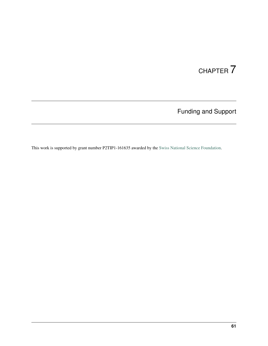Funding and Support

This work is supported by grant number P2TIP1-161635 awarded by the [Swiss National Science Foundation.](http://snf.ch/)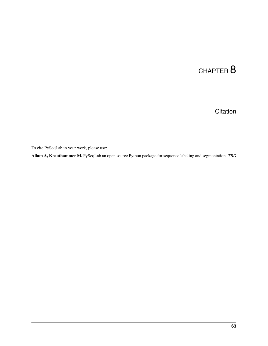**Citation** 

To cite PySeqLab in your work, please use:

Allam A, Krauthammer M. PySeqLab an open source Python package for sequence labeling and segmentation. *TBD*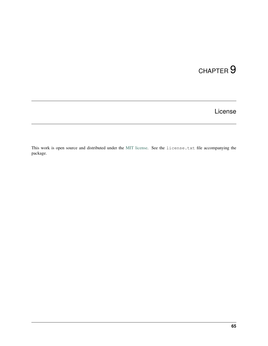# CHAPTER<sup>9</sup>

License

This work is open source and distributed under the [MIT license.](https://opensource.org/licenses/MIT) See the license.txt file accompanying the package.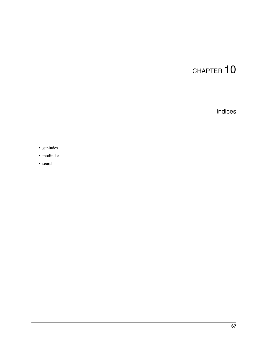Indices

- genindex
- modindex
- search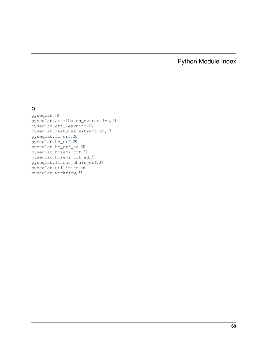### Python Module Index

#### p

pyseqlab, [58](#page-61-0) pyseqlab.attributes\_extraction, [11](#page-14-0) pyseqlab.crf\_learning, [13](#page-16-0) pyseqlab.features\_extraction, [17](#page-20-0) pyseqlab.fo\_crf, [26](#page-29-0) pyseqlab.ho\_crf, [29](#page-32-0) pyseqlab.ho\_crf\_ad, [30](#page-33-0) pyseqlab.hosemi\_crf, [32](#page-35-0) pyseqlab.hosemi\_crf\_ad, [33](#page-36-0) pyseqlab.linear\_chain\_crf, [37](#page-40-0) pyseqlab.utilities, [46](#page-49-0) pyseqlab.workflow, [55](#page-58-0)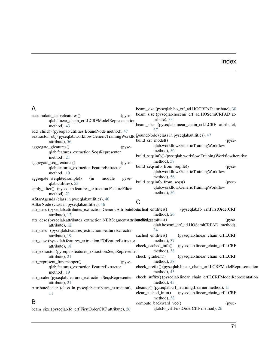## Index

| A                                                                                                    | beam_size (pyseqlab.ho_crf_ad.HOCRFAD attribute), 30             |
|------------------------------------------------------------------------------------------------------|------------------------------------------------------------------|
| (pyse-<br>accumulate_activefeatures()                                                                | beam_size (pyseqlab.hosemi_crf_ad.HOSemiCRFAD at-                |
| qlab.linear_chain_crf.LCRFModelRepresentation                                                        | tribute), 33                                                     |
| method), 43                                                                                          | beam_size (pyseqlab.linear_chain_crf.LCRF attribute),            |
| add_child() (pyseqlab.utilities.BoundNode method), 47                                                | 37                                                               |
| aextractor_obj (pyseqlab.workflow.GenericTrainingWorkflowDoundNode (class in pyseqlab.utilities), 47 |                                                                  |
| attribute), 56                                                                                       | build_crf_model()<br>(pyse-                                      |
| aggregate_gfeatures()<br>(pyse-                                                                      | qlab.workflow.GenericTrainingWorkflow                            |
| qlab.features_extraction.SeqsRepresenter                                                             | method), 56                                                      |
| method), $21$                                                                                        | build_seqsinfo()(pyseqlab.workflow.TrainingWorkflowIterative     |
| aggregate_seq_features()<br>(pyse-                                                                   | method), 58                                                      |
| qlab.features_extraction.FeatureExtractor                                                            | build_seqsinfo_from_seqfile()<br>(pyse-                          |
| method), 19                                                                                          | qlab.workflow.GenericTrainingWorkflow                            |
| aggregate_weightedsample()<br>(in<br>module<br>pyse-                                                 | method), 56                                                      |
| qlab.utilities), 53                                                                                  | build_seqsinfo_from_seqs()<br>(pyse-                             |
| apply_filter() (pyseqlab.features_extraction.FeatureFilter                                           | qlab.workflow.GenericTrainingWorkflow                            |
| method), 21                                                                                          | method), 56                                                      |
| AStarAgenda (class in pyseqlab.utilities), 46                                                        |                                                                  |
| AStarNode (class in pyseqlab.utilities), 46                                                          | C                                                                |
| attr_desc (pyseqlab.attributes_extraction.GenericAttributeExtraducd_entitites()                      | (pyseqlab.fo_crf.FirstOrderCRF                                   |
| attribute), 12                                                                                       | method), 26                                                      |
| attr_desc (pyseqlab.attributes_extraction.NERSegmentAttributelExdraottitites()                       | (pyse-                                                           |
| attribute), 12                                                                                       | qlab.hosemi_crf_ad.HOSemiCRFAD method),                          |
| attr_desc (pyseqlab.features_extraction.FeatureExtractor                                             | 34                                                               |
| attribute), 19                                                                                       | cached_entitites()<br>(pyseqlab.linear_chain_crf.LCRF            |
| attr_desc (pyseqlab.features_extraction.FOFeatureExtractor                                           | method), 37                                                      |
| attribute), 18                                                                                       | check_cached_info()<br>(pyseqlab.linear_chain_crf.LCRF           |
| attr_extractor (pyseqlab.features_extraction.SeqsRepresenter                                         | method), 38                                                      |
| attribute), 21                                                                                       | check_gradient()<br>(pyseqlab.linear_chain_crf.LCRF              |
| attr_represent_funcmapper()<br>(pyse-                                                                | method), 38                                                      |
| qlab.features_extraction.FeatureExtractor                                                            | check_prefix()(pyseqlab.linear_chain_crf.LCRFModelRepresentation |
| method), 19                                                                                          | method), 43                                                      |
| attr_scaler (pyseqlab.features_extraction.SeqsRepresenter                                            | check_suffix()(pyseqlab.linear_chain_crf.LCRFModelRepresentation |
| attribute), 21                                                                                       | method), 43                                                      |
| AttributeScaler (class in pyseqlab.attributes_extraction),                                           | cleanup() (pyseqlab.crf_learning.Learner method), 15             |
| 11                                                                                                   | clear_cached_info()<br>(pyseqlab.linear_chain_crf.LCRF           |
| B                                                                                                    | method), 38<br>compute_backward_vec()                            |
|                                                                                                      | (pyse-<br>qlab.fo_crf.FirstOrderCRF method), 26                  |
| beam size (pyseqlab.fo crf.FirstOrderCRF attribute), 26                                              |                                                                  |

ize (pyseqlab.fo\_crf.FirstOrderCRF attribute), [26](#page-29-1)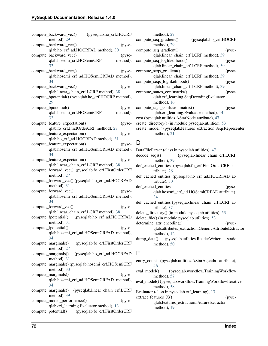| compute_backward_vec()<br>(pyseqlab.ho_crf.HOCRF          |           |
|-----------------------------------------------------------|-----------|
| method), 29                                               |           |
| compute_backward_vec()                                    | $(pyse-$  |
| qlab.ho_crf_ad.HOCRFAD method), 30                        |           |
| compute_backward_vec()                                    | (pyse-    |
| qlab.hosemi_crf.HOSemiCRF                                 | method),  |
| 33                                                        |           |
| compute_backward_vec()                                    | (pyse-    |
| qlab.hosemi_crf_ad.HOSemiCRFAD method),                   |           |
| 34                                                        |           |
|                                                           |           |
| compute_backward_vec()                                    | (pyse-    |
| qlab.linear_chain_crf.LCRF method), 38                    |           |
| compute_bpotential() (pyseqlab.ho_crf.HOCRF method),      |           |
| 29                                                        |           |
| compute_bpotential()                                      | (pyse-    |
| qlab.hosemi_crf.HOSemiCRF                                 | method),  |
| 33                                                        |           |
| compute_feature_expectation()                             | (pyse-    |
| qlab.fo_crf.FirstOrderCRF method), 27                     |           |
| compute_feature_expectation()                             | $(pyse -$ |
|                                                           |           |
| qlab.ho_crf_ad.HOCRFAD method), 31                        |           |
| compute_feature_expectation()                             | (pyse-    |
| qlab.hosemi_crf_ad.HOSemiCRFAD method),                   |           |
| 34                                                        |           |
| compute_feature_expectation()                             | (pyse-    |
| qlab.linear_chain_crf.LCRF method), 38                    |           |
| compute_forward_vec() (pyseqlab.fo_crf.FirstOrderCRF      |           |
| method), 27                                               |           |
| compute_forward_vec()(pyseqlab.ho_crf_ad.HOCRFAD          |           |
| method), 31                                               |           |
|                                                           |           |
| compute_forward_vec()                                     | (pyse-    |
| qlab.hosemi_crf_ad.HOSemiCRFAD method),                   |           |
| 34                                                        |           |
| compute_forward_vec()                                     | $(pyse-$  |
| qlab.linear_chain_crf.LCRF method), 38                    |           |
| (pyseqlab.ho_crf_ad.HOCRFAD<br>compute_fpotential()       |           |
| method), 31                                               |           |
| compute_fpotential()                                      | $(pyse-$  |
| qlab.hosemi_crf_ad.HOSemiCRFAD method),                   |           |
| 34                                                        |           |
| (pyseqlab.fo_crf.FirstOrderCRF<br>compute_marginals()     |           |
|                                                           |           |
| method), 27                                               |           |
| compute_marginals()<br>(pyseqlab.ho_crf_ad.HOCRFAD        |           |
| method), 31                                               |           |
| compute_marginals() (pyseqlab.hosemi_crf.HOSemiCRF        |           |
| method), 33                                               |           |
| compute_marginals()                                       | (pyse-    |
| qlab.hosemi_crf_ad.HOSemiCRFAD method),                   |           |
| 34                                                        |           |
| (pyseqlab.linear_chain_crf.LCRF<br>$compute\_marginals()$ |           |
| method), 39                                               |           |
| compute_model_performance()                               | $(pyse-$  |
| qlab.crf_learning.Evaluator method), 13                   |           |
|                                                           |           |
| compute_potential() (pyseqlab.fo_crf.FirstOrderCRF        |           |

| method), 27                                                  |                        |                                |
|--------------------------------------------------------------|------------------------|--------------------------------|
| compute_seq_gradient()                                       | (pyseqlab.ho_crf.HOCRF |                                |
| method), 29                                                  |                        |                                |
| compute_seq_gradient()                                       |                        | (pyse-                         |
| qlab.linear_chain_crf.LCRF method), 39                       |                        |                                |
| compute_seq_loglikelihood()                                  |                        | (p <sub>V</sub> ) <sub>0</sub> |
| qlab.linear_chain_crf.LCRF method), 39                       |                        |                                |
| compute_seqs_gradient()                                      |                        | (pyse-                         |
| qlab.linear_chain_crf.LCRF method), 39                       |                        |                                |
| compute_seqs_loglikelihood()                                 |                        | (p <sub>V</sub> ) <sub>0</sub> |
| qlab.linear_chain_crf.LCRF method), 39                       |                        |                                |
| compute states confmatrix()                                  |                        | $(pvse-$                       |
| qlab.crf_learning.SeqDecodingEvaluator                       |                        |                                |
| method), $16$                                                |                        |                                |
| compute tags confusionmatrix()                               |                        | (p <sub>V</sub> ) <sub>0</sub> |
| qlab.crf_learning.Evaluator method), 14                      |                        |                                |
| cost (pyseqlab.utilities.AStarNode attribute), 47            |                        |                                |
| create_directory() (in module pyseqlab.utilities), 53        |                        |                                |
| create_model() (pyseqlab.features_extraction.SeqsRepresenter |                        |                                |
| method), $21$                                                |                        |                                |
|                                                              |                        |                                |

#### D

- DataFileParser (class in pyseqlab.utilities), [47](#page-50-0) decode\_seqs() (pyseqlab.linear\_chain\_crf.LCRF method), [39](#page-42-0)
- def\_cached\_entities (pyseqlab.fo\_crf.FirstOrderCRF attribute), [26](#page-29-1)
- def\_cached\_entities (pyseqlab.ho\_crf\_ad.HOCRFAD attribute), [30](#page-33-1)
- def\_cached\_entities (pyseqlab.hosemi\_crf\_ad.HOSemiCRFAD attribute), [34](#page-37-0)
- def\_cached\_entities (pyseqlab.linear\_chain\_crf.LCRF attribute), [37](#page-40-1)
- delete\_directory() (in module pyseqlab.utilities), [53](#page-56-0)
- delete\_file() (in module pyseqlab.utilities), [53](#page-56-0)
- determine\_attr\_encoding() (pyseqlab.attributes\_extraction.GenericAttributeExtractor method), [12](#page-15-0)
- dump\_data() (pyseqlab.utilities.ReaderWriter static method), [50](#page-53-0)

#### E

- entry\_count (pyseqlab.utilities.AStarAgenda attribute), [46](#page-49-1)
- eval\_model() (pyseqlab.workflow.TrainingWorkflow method), [57](#page-60-0)

eval\_model() (pyseqlab.workflow.TrainingWorkflowIterative method), [58](#page-61-1)

Evaluator (class in pyseqlab.crf\_learning), [13](#page-16-1)

extract\_features\_X() (pyseqlab.features\_extraction.FeatureExtractor method), [19](#page-22-0)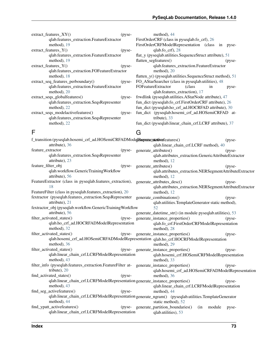| extract features XY()                       | (pyse-                         | method), 44                                                |
|---------------------------------------------|--------------------------------|------------------------------------------------------------|
| qlab.features_extraction.FeatureExtractor   |                                | FirstOrderCRF (class in pyseqlab.fo_crf), 26               |
| method), 19                                 |                                | FirstOrderCRFModelRepresentation (class in<br>pyse-        |
| $extract_features_Y()$                      | (pyse-                         | $qlab.fo_ccf$ ), 28                                        |
| qlab.features_extraction.FeatureExtractor   |                                | flat_y (pyseqlab.utilities.SequenceStruct attribute), 51   |
| method), 19                                 |                                | flatten segfeatures()<br>(pyse-                            |
| $extract_features_Y()$                      | (pyse-                         | qlab.features_extraction.FeatureExtractor                  |
| qlab.features_extraction.FOFeatureExtractor |                                | method), $20$                                              |
| method), $18$                               |                                | flatten_y() (pyseqlab.utilities.SequenceStruct method), 51 |
| extract_seq_features_perboundary()          | (p <sub>V</sub> ) <sub>S</sub> | FO_AStarSearcher (class in pyseqlab.utilities), 48         |
| qlab.features_extraction.FeatureExtractor   |                                | <b>FOFeatureExtractor</b><br>(class)<br>1n<br>pyse-        |
| method), $20$                               |                                | qlab.features_extraction), 17                              |
| extract_seqs_globalfeatures()               | $(pyse-$                       | frwdlink (pyseqlab.utilities.AStarNode attribute), 47      |
| qlab.features_extraction.SeqsRepresenter    |                                | fun_dict (pyseqlab.fo_crf.FirstOrderCRF attribute), 26     |
| method), 22                                 |                                | fun_dict (pyseqlab.ho_crf_ad.HOCRFAD attribute), 30        |
| extract_seqs_modelactivefeatures()          | $(pyse-$                       | fun_dict (pyseqlab.hosemi_crf_ad.HOSemiCRFAD at-           |
| qlab.features_extraction.SeqsRepresenter    |                                | tribute), $33$                                             |
| method), 22                                 |                                | fun_dict (pyseqlab.linear_chain_crf.LCRF attribute), 37    |

### F

| F                                                                                                    | G |                                                            |           |
|------------------------------------------------------------------------------------------------------|---|------------------------------------------------------------|-----------|
| f_transition (pyseqlab.hosemi_crf_ad.HOSemiCRFADModelRepresentertiverfeatures()                      |   |                                                            | (pyse-    |
| attribute), 36                                                                                       |   | qlab.linear_chain_crf.LCRF method), 40                     |           |
| feature_extractor<br>(pyse-                                                                          |   | generate_attributes()                                      | (pyse-    |
| qlab.features_extraction.SeqsRepresenter                                                             |   | qlab.attributes_extraction.GenericAttributeExtractor       |           |
| attribute), 23                                                                                       |   | method), 12                                                |           |
| feature_filter_obj<br>(pyse-                                                                         |   | generate_attributes()                                      | (pyse-    |
| qlab.workflow.GenericTrainingWorkflow                                                                |   | qlab.attributes_extraction.NERSegmentAttributeExtractor    |           |
| attribute), 56                                                                                       |   | method), 12                                                |           |
| FeatureExtractor (class in pyseqlab.features_extraction),                                            |   | generate_attributes_desc()                                 | (pyse-    |
| 18                                                                                                   |   | qlab.attributes_extraction.NERSegmentAttributeExtractor    |           |
| FeatureFilter (class in pyseqlab.features_extraction), 20                                            |   | method), 12                                                |           |
| fextractor (pyseqlab.features_extraction.SeqsRepresenter generate_combinations()                     |   |                                                            | (pyse-    |
| attribute), 21                                                                                       |   | qlab.utilities.TemplateGenerator static method),           |           |
| fextractor_obj (pyseqlab.workflow.GenericTrainingWorkflow                                            |   | 52                                                         |           |
| attribute), 56                                                                                       |   | generate_datetime_str() (in module pyseqlab.utilities), 53 |           |
| filter_activated_states()<br>(pyse-                                                                  |   | generate_instance_properties()                             | $(pyse -$ |
| qlab.ho_crf_ad.HOCRFADModelRepresentation                                                            |   | qlab.fo_crf.FirstOrderCRFModelRepresentation               |           |
| method), 32                                                                                          |   | method), 28                                                |           |
| filter_activated_states()<br>(pyse-                                                                  |   | generate_instance_properties()                             | (pyse-    |
| qlab.hosemi_crf_ad.HOSemiCRFADModelRepresentation qlab.ho_crf.HOCRFModelRepresentation               |   |                                                            |           |
| method), 36                                                                                          |   | method), 29                                                |           |
| filter_activated_states()                                                                            |   | (pyse-generate_instance_properties()                       | $(pyse -$ |
| qlab.linear_chain_crf.LCRFModelRepresentation                                                        |   | qlab.hosemi_crf.HOSemiCRFModelRepresentation               |           |
| method), 43                                                                                          |   | method), 33                                                |           |
| filter_info (pyseqlab.features_extraction.FeatureFilter at- generate_instance_properties()           |   |                                                            | (pyse-    |
| tribute), 20                                                                                         |   | qlab.hosemi_crf_ad.HOSemiCRFADModelRepresentation          |           |
| find_activated_states()<br>$(pvse-$                                                                  |   | method), 36                                                |           |
| qlab.linear_chain_crf.LCRFModelRepresentation generate_instance_properties()                         |   |                                                            | $(pyse -$ |
| method), 43                                                                                          |   | qlab.linear_chain_crf.LCRFModelRepresentation              |           |
| find_seg_activefeatures()<br>(p <sub>ys</sub> )                                                      |   | method), 44                                                |           |
| qlab.linear_chain_crf.LCRFModelRepresentation generate_ngram() (pyseqlab.utilities.TemplateGenerator |   |                                                            |           |
| method), 44                                                                                          |   | static method), 52                                         |           |
| find_ypatt_activefeatures()                                                                          |   | (pyse-generate_partition_boundaries()<br>(in<br>module     | pyse-     |
| qlab.linear_chain_crf.LCRFModelRepresentation                                                        |   | qlab.utilities), 53                                        |           |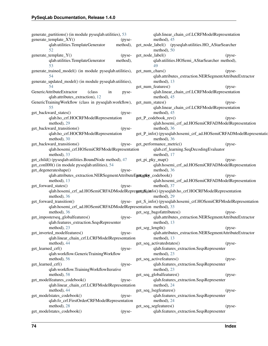generate partitions() (in module pyseqlab.utilities), [53](#page-56-0) generate\_template\_XY() (pyseqlab.utilities.TemplateGenerator method), [52](#page-55-0) generate\_template\_Y() (pyseqlab.utilities.TemplateGenerator method), [53](#page-56-0) generate\_trained\_model() (in module pyseqlab.utilities), get\_num\_chars() (pyse-[54](#page-57-0) generate\_updated\_model() (in module pyseqlab.utilities), [54](#page-57-0) GenericAttributeExtractor (class in pyseqlab.attributes\_extraction), [12](#page-15-0) GenericTrainingWorkflow (class in pyseqlab.workflow), [55](#page-58-1) get\_backward\_states() (pyseqlab.ho\_crf.HOCRFModelRepresentation method), [29](#page-32-1) get\_backward\_transitions() (pyseqlab.ho\_crf.HOCRFModelRepresentation method), [30](#page-33-1) get\_backward\_transitions() qlab.hosemi\_crf.HOSemiCRFModelRepresentation method), [33](#page-36-1) get\_child() (pyseqlab.utilities.BoundNode method), [47](#page-50-0) get\_conll00() (in module pyseqlab.utilities), [54](#page-57-0) get\_degenerateshape() (pyseqlab.attributes\_extraction.NERSegmentAttributeEgetagtky\_codebook() (pysemethod), [13](#page-16-1) get\_forward\_states() (pyseqlab.hosemi\_crf\_ad.HOSemiCRFADModelRepresentation() (pyseqlab.ho\_crf.HOCRFModelRepresentation method), [36](#page-39-0) get\_forward\_transition() qlab.hosemi\_crf\_ad.HOSemiCRFADModelRepresentation method), [33](#page-36-1) method), [36](#page-39-0) get\_imposterseq\_globalfeatures() (pyseqlab.features\_extraction.SeqsRepresenter method), [23](#page-26-0) get\_inverted\_modelfeatures() (pyseqlab.linear\_chain\_crf.LCRFModelRepresentation method), [44](#page-47-0) get\_learned\_crf() (pyseqlab.workflow.GenericTrainingWorkflow method), [56](#page-59-0) get\_learned\_crf() (pyseqlab.workflow.TrainingWorkflowIterative method), [58](#page-61-1) get\_modelfeatures\_codebook() (pyseqlab.linear\_chain\_crf.LCRFModelRepresentation method), [44](#page-47-0) get\_modelstates\_codebook() (pyseqlab.fo\_crf.FirstOrderCRFModelRepresentation method), [28](#page-31-0) get\_modelstates\_codebook() (pyseqlab.linear\_chain\_crf.LCRFModelRepresentation method), [45](#page-48-0) get\_node\_label() (pyseqlab.utilities.HO\_AStarSearcher method), [50](#page-53-0) get node label() (pyseqlab.utilities.HOSemi\_AStarSearcher method), [49](#page-52-0) qlab.attributes\_extraction.NERSegmentAttributeExtractor method), [13](#page-16-1) get\_num\_features() (pyseqlab.linear\_chain\_crf.LCRFModelRepresentation method), [45](#page-48-0) get\_num\_states() (pyseqlab.linear\_chain\_crf.LCRFModelRepresentation method), [45](#page-48-0) get\_P\_codebook\_rev() (pyseqlab.hosemi\_crf\_ad.HOSemiCRFADModelRepresentation method), [36](#page-39-0) get P\_info() (pyseqlab.hosemi\_crf\_ad.HOSemiCRFADModelRepresentation method), [36](#page-39-0) (pyse-get\_performance\_metric() (pyseqlab.crf\_learning.SeqDecodingEvaluator method), [17](#page-20-1) get\_pi\_pky\_map() (pyseqlab.hosemi\_crf\_ad.HOSemiCRFADModelRepresentation method), [36](#page-39-0) qlab.hosemi\_crf\_ad.HOSemiCRFADModelRepresentation method), [37](#page-40-1) method), [29](#page-32-1) get\_S\_info() (pyseqlab.hosemi\_crf.HOSemiCRFModelRepresentation get seg bagofattributes() (pyseqlab.attributes\_extraction.NERSegmentAttributeExtractor method), [13](#page-16-1) get\_seg\_length() (pyseqlab.attributes\_extraction.NERSegmentAttributeExtractor method), [13](#page-16-1) get\_seq\_activatedstates() (pyseqlab.features\_extraction.SeqsRepresenter method), [23](#page-26-0) get\_seq\_activefeatures() (pyseqlab.features\_extraction.SeqsRepresenter method), [23](#page-26-0) get\_seq\_globalfeatures() (pyseqlab.features\_extraction.SeqsRepresenter method), [24](#page-27-0) get\_seq\_lsegfeatures() (pyseqlab.features\_extraction.SeqsRepresenter method), [24](#page-27-0) get\_seq\_segfeatures() (pyseqlab.features\_extraction.SeqsRepresenter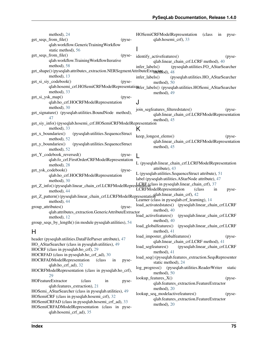| method), 24                                                                                           | HOSemiCRFModelRepresentation<br>(class)<br>in<br>pyse-                                            |
|-------------------------------------------------------------------------------------------------------|---------------------------------------------------------------------------------------------------|
| get_seqs_from_file()<br>(pyse-                                                                        | qlab.hosemi_crf), 33                                                                              |
| qlab.workflow.GenericTrainingWorkflow                                                                 |                                                                                                   |
| static method), 56                                                                                    |                                                                                                   |
| get_seqs_from_file()<br>(pyse-                                                                        | identify_activefeatures()<br>(pyse-                                                               |
| qlab.workflow.TrainingWorkflowIterative                                                               | qlab.linear_chain_crf.LCRF method), 40                                                            |
| method), 58                                                                                           | infer_labels()<br>(pyseqlab.utilities.FO_AStarSearcher                                            |
| get_shape()(pyseqlab.attributes_extraction.NERSegmentAttributeExtracetayod), 48                       |                                                                                                   |
| method), $13$                                                                                         | infer_labels()<br>(pyseqlab.utilities.HO_AStarSearcher                                            |
| get_si_siy_codebook()<br>$(pyse-$                                                                     | method), 50                                                                                       |
|                                                                                                       | qlab.hosemi_crf.HOSemiCRFModelRepresentatiqnfer_labels() (pyseqlab.utilities.HOSemi_AStarSearcher |
| method), 33                                                                                           | method), 49                                                                                       |
| get_si_ysk_map()<br>(pyse-                                                                            |                                                                                                   |
| qlab.ho_crf.HOCRFModelRepresentation                                                                  |                                                                                                   |
| method), 30                                                                                           |                                                                                                   |
| get_signature() (pyseqlab.utilities.BoundNode method),                                                | join_segfeatures_filteredstates()<br>$(pyse -$                                                    |
| 47                                                                                                    | qlab.linear_chain_crf.LCRFModelRepresentation                                                     |
|                                                                                                       | method), 45                                                                                       |
| get_siy_info() (pyseqlab.hosemi_crf.HOSemiCRFModelRepresentation                                      |                                                                                                   |
| method), 33                                                                                           | K                                                                                                 |
| (pyseqlab.utilities.SequenceStruct<br>get_x_boundaries()                                              | keep_longest_elems()<br>(p <sub>Y</sub> ) <sub>0</sub>                                            |
| method), 52                                                                                           | qlab.linear_chain_crf.LCRFModelRepresentation                                                     |
| (pyseqlab.utilities.SequenceStruct<br>get_y_boundaries()                                              | method), 45                                                                                       |
| method), 52                                                                                           |                                                                                                   |
| get_Y_codebook_reversed()<br>(pyse-                                                                   |                                                                                                   |
| qlab.fo_crf.FirstOrderCRFModelRepresentation                                                          | L (pyseqlab.linear_chain_crf.LCRFModelRepresentation                                              |
| method), 28                                                                                           | attribute), 43                                                                                    |
| get_ysk_codebook()<br>(pyse-                                                                          |                                                                                                   |
| qlab.ho_crf.HOCRFModelRepresentation                                                                  | L (pyseqlab.utilities.SequenceStruct attribute), 51                                               |
| method), 30                                                                                           | label (pyseqlab.utilities.AStarNode attribute), 47                                                |
| get_Z_info()(pyseqlab.linear_chain_crf.LCRFModelRepresentation lass in pyseqlab.linear_chain_crf), 37 |                                                                                                   |
| method), 44                                                                                           | <b>LCRFModelRepresentation</b><br>(class)<br>in<br>pyse-                                          |
| get_Z_pattern()(pyseqlab.linear_chain_crf.LCRFModelRepresentatioflab.linear_chain_crf), 42            |                                                                                                   |
| method), 44                                                                                           | Learner (class in pyseqlab.crf_learning), 14                                                      |
| group_attributes()<br>(pyse-                                                                          | load_activatedstates() (pyseqlab.linear_chain_crf.LCRF                                            |
| qlab.attributes_extraction.GenericAttributeExtractor                                                  | method), 40                                                                                       |
| method), 12                                                                                           | load_activefeatures()<br>(pyseqlab.linear_chain_crf.LCRF                                          |
| group_seqs_by_length() (in module pyseqlab.utilities), 54                                             | method), $40$                                                                                     |
|                                                                                                       | load_globalfeatures()<br>(pyseqlab.linear_chain_crf.LCRF                                          |
| Η                                                                                                     | method), 41                                                                                       |
| header (pyseqlab.utilities.DataFileParser attribute), 47                                              | load_imposter_globalfeatures()<br>(pyse-                                                          |
| HO_AStarSearcher (class in pyseqlab.utilities), 49                                                    | qlab.linear_chain_crf.LCRF method), 41                                                            |
| HOCRF (class in pyseqlab.ho_crf), 29                                                                  | load_segfeatures()<br>(pyseqlab.linear_chain_crf.LCRF                                             |
|                                                                                                       | method), 41                                                                                       |
| HOCRFAD (class in pyseqlab.ho_crf_ad), 30                                                             | load_seq() (pyseqlab.features_extraction.SeqsRepresenter                                          |
| HOCRFADModelRepresentation<br>(class)<br>in<br>pyse-                                                  | static method), 24                                                                                |
| qlab.ho_crf_ad), 32                                                                                   | (pyseqlab.utilities.ReaderWriter<br>$log\_progress()$<br>static                                   |
| HOCRFModelRepresentation (class in pyseqlab.ho_crf),                                                  | method), 50                                                                                       |
| 29                                                                                                    | lookup_features_X()<br>(pyse-                                                                     |
| <b>HOFeatureExtractor</b><br>in<br>(class<br>pyse-                                                    | qlab.features_extraction.FeatureExtractor                                                         |
| qlab.features_extraction), 21                                                                         | method), 20                                                                                       |
| HOSemi_AStarSearcher (class in pyseqlab.utilities), 49                                                | lookup_seq_modelactivefeatures()<br>(pyse-                                                        |
| HOSemiCRF (class in pyseqlab.hosemi_crf), 32                                                          | qlab.features_extraction.FeatureExtractor                                                         |
| HOSemiCRFAD (class in pyseqlab.hosemi_crf_ad), 33                                                     | method), 20                                                                                       |
| HOSemiCRFADModelRepresentation (class in pyse-                                                        |                                                                                                   |
| qlab.hosemi_crf_ad), 35                                                                               |                                                                                                   |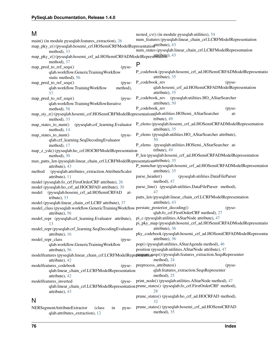#### M

| M                                                                                                         | nested_cv() (in module pyseqlab.utilities), 54                                                                                    |
|-----------------------------------------------------------------------------------------------------------|-----------------------------------------------------------------------------------------------------------------------------------|
| main() (in module pyseqlab.features_extraction), 26                                                       | num_features (pyseqlab.linear_chain_crf.LCRFModelRepresentation                                                                   |
| map_pky_z()(pyseqlab.hosemi_crf.HOSemiCRFModelRepresentationaltribute), 43<br>method), 33                 | num_states (pyseqlab.linear_chain_crf.LCRFModelRepresentation                                                                     |
| map_pky_z()(pyseqlab.hosemi_crf_ad.HOSemiCRFADModelRepresettrahuff), 43                                   |                                                                                                                                   |
| method), 37                                                                                               |                                                                                                                                   |
| map_pred_to_ref_seqs()<br>(pyse-                                                                          | P                                                                                                                                 |
| qlab.workflow.GenericTrainingWorkflow<br>static method), 56                                               | P_codebook (pyseqlab.hosemi_crf_ad.HOSemiCRFADModelRepresentatio<br>attribute), 35                                                |
| map_pred_to_ref_seqs()<br>(pyse-                                                                          | P_codebook_rev<br>(p <sub>y</sub> ) <sub>se</sub>                                                                                 |
| method),<br>qlab.workflow.TrainingWorkflow<br>57                                                          | qlab.hosemi_crf_ad.HOSemiCRFADModelRepresentation<br>attribute), 35                                                               |
| map_pred_to_ref_seqs()<br>(pyse-<br>qlab.workflow.TrainingWorkflowIterative                               | P_codebook_rev (pyseqlab.utilities.HO_AStarSearcher<br>attribute), 50                                                             |
| method), 58                                                                                               | P_codebook_rev<br>(pyse-                                                                                                          |
| map_siy_z()(pyseqlab.hosemi_crf.HOSemiCRFModelRepresentationqlab.utilities.HOSemi_AStarSearcher           | at-                                                                                                                               |
| method), 33                                                                                               | tribute), 49                                                                                                                      |
| map_states_to_num()<br>method), 14                                                                        | (pyseqlab.crf_learning.Evaluator P_elems (pyseqlab.hosemi_crf_ad.HOSemiCRFADModelRepresentation<br>attribute), 35                 |
| map_states_to_num()<br>(pyse-<br>qlab.crf_learning.SeqDecodingEvaluator                                   | P_elems (pyseqlab.utilities.HO_AStarSearcher attribute),<br>50                                                                    |
| method), 17                                                                                               | P_elems (pyseqlab.utilities.HOSemi_AStarSearcher at-                                                                              |
| map_z_ysk()(pyseqlab.ho_crf.HOCRFModelRepresentation<br>method), 30                                       | tribute), 49<br>P_len (pyseqlab.hosemi_crf_ad.HOSemiCRFADModelRepresentation                                                      |
| max_patts_len (pyseqlab.linear_chain_crf.LCRFModelRepresentationattribute), 35                            |                                                                                                                                   |
| attribute), 43                                                                                            | P_numchar (pyseqlab.hosemi_crf_ad.HOSemiCRFADModelRepresentation                                                                  |
| (pyseqlab.attributes_extraction.AttributeScaler<br>method                                                 | attribute), 35                                                                                                                    |
| attribute), 11                                                                                            | (pyseqlab.utilities.DataFileParser<br>parse_header()                                                                              |
| model (pyseqlab.fo_crf.FirstOrderCRF attribute), 26                                                       | method), 47                                                                                                                       |
| model (pyseqlab.ho_crf_ad.HOCRFAD attribute), 30<br>(pyseqlab.hosemi_crf_ad.HOSemiCRFAD<br>model<br>at-   | parse_line() (pyseqlab.utilities.DataFileParser method),<br>47                                                                    |
| tribute), 33                                                                                              | patts_len (pyseqlab.linear_chain_crf.LCRFModelRepresentation                                                                      |
| model (pyseqlab.linear_chain_crf.LCRF attribute), 37                                                      | attribute), 43                                                                                                                    |
| model_class (pyseqlab.workflow.GenericTrainingWorkflow perstate_posterior_decoding()                      | (pyse-                                                                                                                            |
| attribute), 56                                                                                            | qlab.fo_crf.FirstOrderCRF method), 27                                                                                             |
| model_repr (pyseqlab.crf_learning.Evaluator attribute), pi_c (pyseqlab.utilities.AStarNode attribute), 47 |                                                                                                                                   |
| 13<br>model_repr (pyseqlab.crf_learning.SeqDecodingEvaluator attribute), 36                               | pi_pky_map (pyseqlab.hosemi_crf_ad.HOSemiCRFADModelRepresentatio                                                                  |
| attribute), 16                                                                                            | pky_codebook (pyseqlab.hosemi_crf_ad.HOSemiCRFADModelRepresenta                                                                   |
| model_repr_class<br>(pyse-                                                                                | attribute), 36                                                                                                                    |
| qlab.workflow.GenericTrainingWorkflow                                                                     | pop() (pyseqlab.utilities.AStarAgenda method), 46                                                                                 |
|                                                                                                           | position (pyseqlab.utilities.AStarNode attribute), 47                                                                             |
| attribute), 56                                                                                            |                                                                                                                                   |
| attribute), 42                                                                                            | modelfeatures (pyseqlab.linear_chain_crf.LCRFModelReproseprationeqs()(pyseqlab.features_extraction.SeqsRepresenter<br>method), 24 |
| modelfeatures_codebook                                                                                    | (pyse- preprocess_attributes()<br>(p <sub>y</sub> ) <sub>se</sub>                                                                 |
| qlab.linear_chain_crf.LCRFModelRepresentation<br>attribute), 42                                           | qlab.features_extraction.SeqsRepresenter<br>method), $25$                                                                         |
| modelfeatures_inverted                                                                                    | (pyse- print_node() (pyseqlab.utilities.AStarNode method), 47                                                                     |
| attribute), 43                                                                                            | qlab.linear_chain_crf.LCRFModelRepresentation prune_states() (pyseqlab.fo_crf.FirstOrderCRF method),<br>28                        |
| N                                                                                                         | prune_states() (pyseqlab.ho_crf_ad.HOCRFAD method),<br>32                                                                         |
|                                                                                                           | prune_states() (pyseqlab.hosemi_crf_ad.HOSemiCRFAD                                                                                |
| NERSegmentAttributeExtractor<br>(class)<br>in<br>pyse-<br>qlab.attributes_extraction), 12                 | method), 35                                                                                                                       |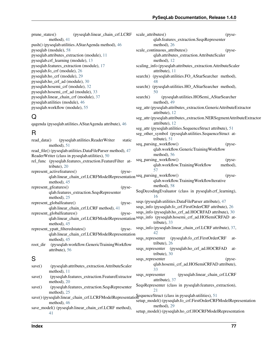qlab.features\_extraction.SeqsRepresenter

scale\_continuous\_attributes() (pyseqlab.attributes\_extraction.AttributeScaler

scaling info (pyseqlab.attributes extraction.AttributeScaler

search() (pyseqlab.utilities.FO\_AStarSearcher method),

search() (pyseqlab.utilities.HO\_AStarSearcher method),

search() (pyseqlab.utilities.HOSemi\_AStarSearcher

seg\_attr (pyseqlab.utilities.SequenceStruct attribute), [51](#page-54-0)

seg\_attr (pyseqlab.attributes\_extraction.GenericAttributeExtractor

seg\_attr (pyseqlab.attributes\_extraction.NERSegmentAttributeExtractor

method), [26](#page-29-1)

method), [12](#page-15-0)

attribute), [11](#page-14-1)

method), [49](#page-52-0)

attribute), [12](#page-15-0)

attribute), [12](#page-15-0)

[48](#page-51-0)

[50](#page-53-0)

prune\_states() (pyseqlab.linear\_chain\_crf.LCRF scale\_attributes() (pysemethod), [41](#page-44-0) push() (pyseqlab.utilities.AStarAgenda method), [46](#page-49-1) pyseqlab (module), [58](#page-61-1) pyseqlab.attributes\_extraction (module), [11](#page-14-1) pyseqlab.crf\_learning (module), [13](#page-16-1) pyseqlab.features\_extraction (module), [17](#page-20-1) pyseqlab.fo\_crf (module), [26](#page-29-1) pyseqlab.ho\_crf (module), [29](#page-32-1) pyseqlab.ho\_crf\_ad (module), [30](#page-33-1) pyseqlab.hosemi\_crf (module), [32](#page-35-1) pyseqlab.hosemi\_crf\_ad (module), [33](#page-36-1) pyseqlab.linear\_chain\_crf (module), [37](#page-40-1) pyseqlab.utilities (module), [46](#page-49-1) pyseqlab.workflow (module), [55](#page-58-1)

# Q

qagenda (pyseqlab.utilities.AStarAgenda attribute), [46](#page-49-1)

### R

read data() (pyseqlab.utilities.ReaderWriter static method), [51](#page-54-0) read\_file() (pyseqlab.utilities.DataFileParser method), [47](#page-50-0) ReaderWriter (class in pyseqlab.utilities), [50](#page-53-0) rel\_func (pyseqlab.features\_extraction.FeatureFilter attribute), [20](#page-23-0) represent activefeatures() (pyseqlab.linear\_chain\_crf.LCRFModelRepresentation seq\_parsing\_workflow() (pysemethod), [45](#page-48-0) represent\_gfeatures() (pyseqlab.features\_extraction.SeqsRepresenter method), [25](#page-28-0) represent\_globalfeature() (pyseqlab.linear\_chain\_crf.LCRF method), [41](#page-44-0) represent\_globalfeatures() (pyseqlab.linear\_chain\_crf.LCRFModelRepresentation seqs\_info (pyseqlab.hosemi\_crf\_ad.HOSemiCRFAD atmethod), [45](#page-48-0) represent ypatt filteredstates() (pyseqlab.linear\_chain\_crf.LCRFModelRepresentation method), [45](#page-48-0) root\_dir (pyseqlab.workflow.GenericTrainingWorkflow attribute), [56](#page-59-0) S save() (pyseqlab.attributes\_extraction.AttributeScaler method), [11](#page-14-1) save() (pyseqlab.features\_extraction.FeatureExtractor method), [20](#page-23-0) save() (pyseqlab.features extraction.SeqsRepresenter method), [25](#page-28-0) save() (pyseqlab.linear\_chain\_crf.LCRFModelRepresentationelled Struct (class in pyseqlab.utilities), [51](#page-54-0) method), [46](#page-49-1) save\_model() (pyseqlab.linear\_chain\_crf.LCRF method), [41](#page-44-0) seg\_other\_symbol (pyseqlab.utilities.SequenceStruct attribute), [51](#page-54-0) seq\_parsing\_workflow() (pyseqlab.workflow.GenericTrainingWorkflow method), [56](#page-59-0) seq\_parsing\_workflow() (pyseqlab.workflow.TrainingWorkflow method), [57](#page-60-0) qlab.workflow.TrainingWorkflowIterative method), [58](#page-61-1) SeqDecodingEvaluator (class in pyseqlab.crf\_learning), [16](#page-19-0) seqs (pyseqlab.utilities.DataFileParser attribute), [47](#page-50-0) seqs\_info (pyseqlab.fo\_crf.FirstOrderCRF attribute), [26](#page-29-1) seqs\_info (pyseqlab.ho\_crf\_ad.HOCRFAD attribute), [30](#page-33-1) tribute), [33](#page-36-1) seqs\_info (pyseqlab.linear\_chain\_crf.LCRF attribute), [37,](#page-40-1) [42](#page-45-0) seqs\_representer (pyseqlab.fo\_crf.FirstOrderCRF attribute), [26](#page-29-1) seqs\_representer (pyseqlab.ho\_crf\_ad.HOCRFAD attribute), [30](#page-33-1) seqs\_representer (pyseqlab.hosemi\_crf\_ad.HOSemiCRFAD attribute), [33](#page-36-1) seqs\_representer (pyseqlab.linear\_chain\_crf.LCRF attribute), [37](#page-40-1) SeqsRepresenter (class in pyseqlab.features\_extraction), [21](#page-24-0) setup\_model() (pyseqlab.fo\_crf.FirstOrderCRFModelRepresentation method), [29](#page-32-1) setup\_model() (pyseqlab.ho\_crf.HOCRFModelRepresentation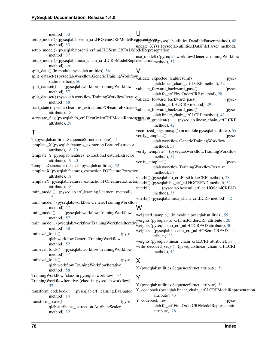| method), 30                                                                                                               | U                                                                                                        |
|---------------------------------------------------------------------------------------------------------------------------|----------------------------------------------------------------------------------------------------------|
| setup_model()(pyseqlab.hosemi_crf.HOSemiCRFModelRepresentation(pyseqlab.utilities.DataFileParser method), 48              |                                                                                                          |
| method), 33                                                                                                               | update_XY() (pyseqlab.utilities.DataFileParser method),                                                  |
| setup_model() (pyseqlab.hosemi_crf_ad.HOSemiCRFADModelRepresentation                                                      |                                                                                                          |
| method), 37                                                                                                               | use_model() (pyseqlab.workflow.GenericTrainingWorkflow                                                   |
| setup_model() (pyseqlab.linear_chain_crf.LCRFModelRepresentation <sub>method)</sub> , 57<br>method), 46                   |                                                                                                          |
| split_data() (in module pyseqlab.utilities), 54                                                                           | V                                                                                                        |
| split_dataset() (pyseqlab.workflow.GenericTrainingWorkflow validate_expected_featuresum()                                 |                                                                                                          |
| static method), 56                                                                                                        | (pyse-<br>qlab.linear_chain_crf.LCRF method), 42                                                         |
| (pyseqlab.workflow.TrainingWorkflow<br>split_dataset()                                                                    | validate_forward_backward_pass()<br>(pyse-                                                               |
| method), 57                                                                                                               | qlab.fo_crf.FirstOrderCRF method), 28                                                                    |
| split_dataset()(pyseqlab.workflow.TrainingWorkflowIterativeNalidate_forward_backward_pass()                               | (pyse-                                                                                                   |
| method), 58                                                                                                               | qlab.ho_crf.HOCRF method), 29                                                                            |
| start_state(pyseqlab.features_extraction.FOFeatureExtractor <sub>validate_forward_backward_pass()</sub><br>attribute), 18 | (pyse-                                                                                                   |
| startstate_flag(pyseqlab.fo_crf.FirstOrderCRFModelRepresentation radient()                                                | qlab.linear_chain_crf.LCRF method), 42                                                                   |
| attribute), 28                                                                                                            | (pyseqlab.linear_chain_crf.LCRF                                                                          |
|                                                                                                                           | method), 42<br>vectorized_logsumexp() (in module pyseqlab.utilities), 55                                 |
| Τ                                                                                                                         | verify_template()<br>(pyse-                                                                              |
| T (pyseqlab.utilities.SequenceStruct attribute), 51                                                                       | qlab.workflow.GenericTrainingWorkflow                                                                    |
| template_X (pyseqlab.features_extraction.FeatureExtractor                                                                 | method), 57                                                                                              |
| attribute), 18, 20                                                                                                        | verify_template() (pyseqlab.workflow.TrainingWorkflow                                                    |
| template_Y (pyseqlab.features_extraction.FeatureExtractor                                                                 | method), 57                                                                                              |
| attribute), 19, 20<br>TemplateGenerator (class in pyseqlab.utilities), 52                                                 | verify_template()<br>(pyse-                                                                              |
| templateX (pyseqlab.features_extraction.FOFeatureExtractor                                                                | qlab.workflow.TrainingWorkflowIterative                                                                  |
| attribute), 18                                                                                                            | method), 58<br>viterbi() (pyseqlab.fo_crf.FirstOrderCRF method), 28                                      |
| templateY (pyseqlab.features_extraction.FOFeatureExtractotiterbi() (pyseqlab.ho_crf_ad.HOCRFAD method), 32                |                                                                                                          |
| attribute), 18                                                                                                            | (pyseqlab.hosemi_crf_ad.HOSemiCRFAD<br>viterbi()                                                         |
| train_model() (pyseqlab.crf_learning.Learner method),                                                                     | method), 35                                                                                              |
| 15                                                                                                                        | viterbi() (pyseqlab.linear_chain_crf.LCRF method), 42                                                    |
| train_model() (pyseqlab.workflow.GenericTrainingWorkflow                                                                  | W                                                                                                        |
| method), 57<br>train_model()<br>(pyseqlab.workflow.TrainingWorkflow                                                       |                                                                                                          |
| method), 57                                                                                                               | weighted_sample() (in module pyseqlab.utilities), 55                                                     |
| train_model() (pyseqlab.workflow.TrainingWorkflowIterative                                                                | weights (pyseqlab.fo_crf.FirstOrderCRF attribute), 26                                                    |
| method), 58                                                                                                               | weights (pyseqlab.ho_crf_ad.HOCRFAD attribute), 30<br>(pyseqlab.hosemi_crf_ad.HOSemiCRFAD at-<br>weights |
| traineval_folds()<br>(pyse-                                                                                               | tribute), 33                                                                                             |
| qlab.workflow.GenericTrainingWorkflow                                                                                     | weights (pyseqlab.linear_chain_crf.LCRF attribute), 37                                                   |
| method), 57                                                                                                               | write_decoded_seqs() (pyseqlab.linear_chain_crf.LCRF                                                     |
| traineval_folds() (pyseqlab.workflow.TrainingWorkflow<br>method), 57                                                      | method), 42                                                                                              |
| traineval_folds()<br>(pyse-                                                                                               |                                                                                                          |
| qlab.workflow.TrainingWorkflowIterative                                                                                   | X                                                                                                        |
| method), 58                                                                                                               | X (pyseqlab.utilities.SequenceStruct attribute), 51                                                      |
| Training Workflow (class in pyseqlab.workflow), 57                                                                        | Y                                                                                                        |
| Training WorkflowIterative (class in pyseqlab.workflow),                                                                  |                                                                                                          |
| 57                                                                                                                        | Y (pyseqlab.utilities.SequenceStruct attribute), 51                                                      |
| transform_codebook()<br>(pyseqlab.crf_learning.Evaluator                                                                  | Y_codebook (pyseqlab.linear_chain_crf.LCRFModelRepresentation<br>attribute), 43                          |
| method), 14<br>transform_scale()<br>(pyse-                                                                                | Y_codebook_rev<br>(pyse-                                                                                 |
| qlab.attributes_extraction.AttributeScaler                                                                                | qlab.fo_crf.FirstOrderCRFModelRepresentation                                                             |
| method), 12                                                                                                               | attribute), 28                                                                                           |